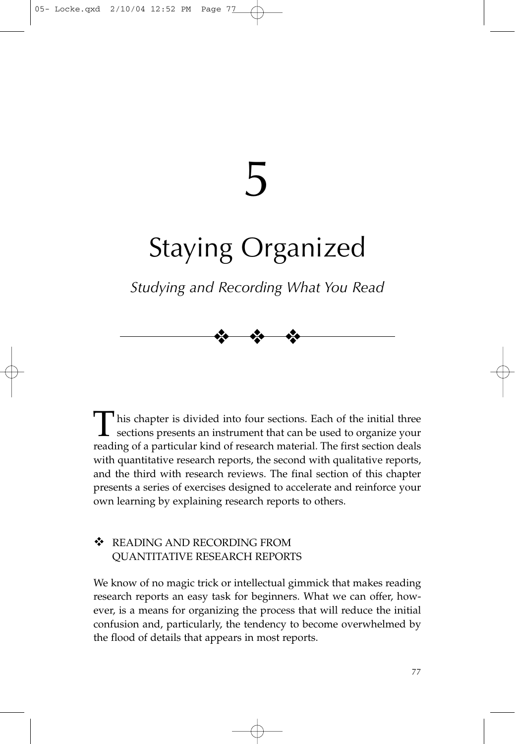# 5

# Staying Organized

*Studying and Recording What You Read*



This chapter is divided into four sections. Each of the initial three<br>sections presents an instrument that can be used to organize your<br>reading of a perticular kind of research material. The first eastien deals reading of a particular kind of research material. The first section deals with quantitative research reports, the second with qualitative reports, and the third with research reviews. The final section of this chapter presents a series of exercises designed to accelerate and reinforce your own learning by explaining research reports to others.

# $\cdot$  READING AND RECORDING FROM QUANTITATIVE RESEARCH REPORTS

We know of no magic trick or intellectual gimmick that makes reading research reports an easy task for beginners. What we can offer, however, is a means for organizing the process that will reduce the initial confusion and, particularly, the tendency to become overwhelmed by the flood of details that appears in most reports.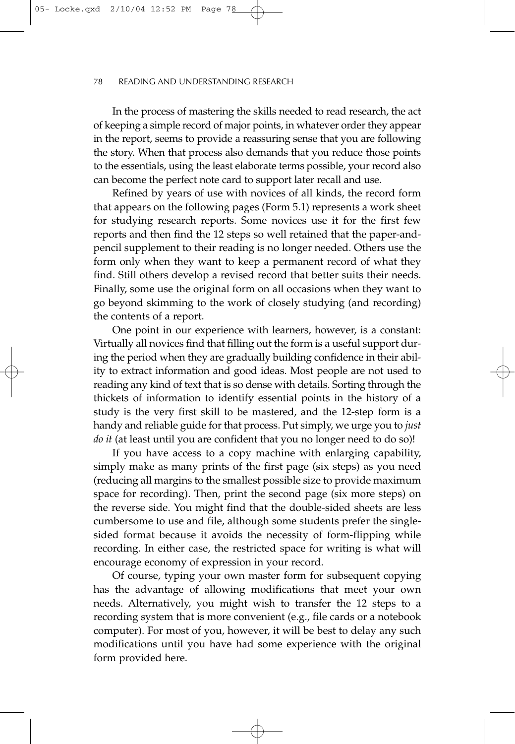In the process of mastering the skills needed to read research, the act of keeping a simple record of major points, in whatever order they appear in the report, seems to provide a reassuring sense that you are following the story. When that process also demands that you reduce those points to the essentials, using the least elaborate terms possible, your record also can become the perfect note card to support later recall and use.

Refined by years of use with novices of all kinds, the record form that appears on the following pages (Form 5.1) represents a work sheet for studying research reports. Some novices use it for the first few reports and then find the 12 steps so well retained that the paper-andpencil supplement to their reading is no longer needed. Others use the form only when they want to keep a permanent record of what they find. Still others develop a revised record that better suits their needs. Finally, some use the original form on all occasions when they want to go beyond skimming to the work of closely studying (and recording) the contents of a report.

One point in our experience with learners, however, is a constant: Virtually all novices find that filling out the form is a useful support during the period when they are gradually building confidence in their ability to extract information and good ideas. Most people are not used to reading any kind of text that is so dense with details. Sorting through the thickets of information to identify essential points in the history of a study is the very first skill to be mastered, and the 12-step form is a handy and reliable guide for that process. Put simply, we urge you to *just do it* (at least until you are confident that you no longer need to do so)!

If you have access to a copy machine with enlarging capability, simply make as many prints of the first page (six steps) as you need (reducing all margins to the smallest possible size to provide maximum space for recording). Then, print the second page (six more steps) on the reverse side. You might find that the double-sided sheets are less cumbersome to use and file, although some students prefer the singlesided format because it avoids the necessity of form-flipping while recording. In either case, the restricted space for writing is what will encourage economy of expression in your record.

Of course, typing your own master form for subsequent copying has the advantage of allowing modifications that meet your own needs. Alternatively, you might wish to transfer the 12 steps to a recording system that is more convenient (e.g., file cards or a notebook computer). For most of you, however, it will be best to delay any such modifications until you have had some experience with the original form provided here.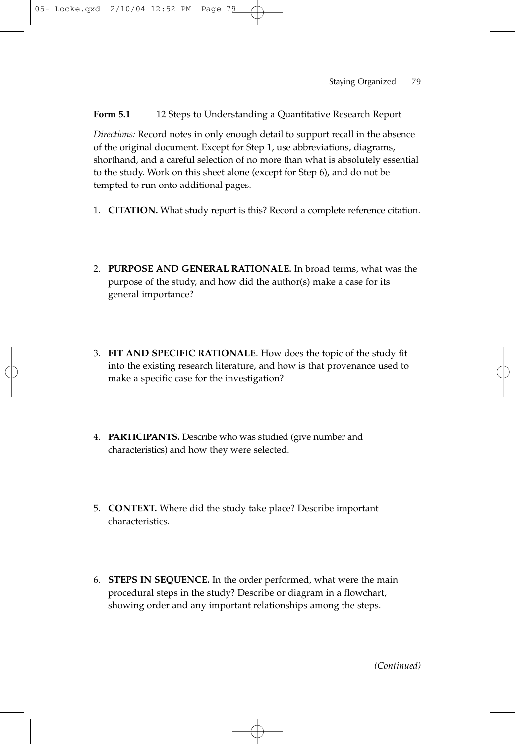Staying Organized——79

#### **Form 5.1** 12 Steps to Understanding a Quantitative Research Report

*Directions:* Record notes in only enough detail to support recall in the absence of the original document. Except for Step 1, use abbreviations, diagrams, shorthand, and a careful selection of no more than what is absolutely essential to the study. Work on this sheet alone (except for Step 6), and do not be tempted to run onto additional pages.

- 1. **CITATION.** What study report is this? Record a complete reference citation.
- 2. **PURPOSE AND GENERAL RATIONALE.** In broad terms, what was the purpose of the study, and how did the author(s) make a case for its general importance?
- 3. **FIT AND SPECIFIC RATIONALE**. How does the topic of the study fit into the existing research literature, and how is that provenance used to make a specific case for the investigation?
- 4. **PARTICIPANTS.** Describe who was studied (give number and characteristics) and how they were selected.
- 5. **CONTEXT.** Where did the study take place? Describe important characteristics.
- 6. **STEPS IN SEQUENCE.** In the order performed, what were the main procedural steps in the study? Describe or diagram in a flowchart, showing order and any important relationships among the steps.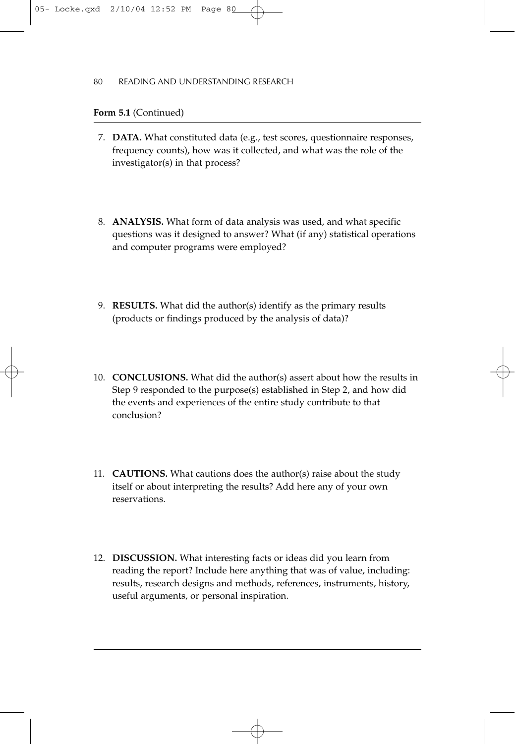# **Form 5.1** (Continued)

- 7. **DATA.** What constituted data (e.g., test scores, questionnaire responses, frequency counts), how was it collected, and what was the role of the investigator(s) in that process?
- 8. **ANALYSIS.** What form of data analysis was used, and what specific questions was it designed to answer? What (if any) statistical operations and computer programs were employed?
- 9. **RESULTS.** What did the author(s) identify as the primary results (products or findings produced by the analysis of data)?
- 10. **CONCLUSIONS.** What did the author(s) assert about how the results in Step 9 responded to the purpose(s) established in Step 2, and how did the events and experiences of the entire study contribute to that conclusion?
- 11. **CAUTIONS.** What cautions does the author(s) raise about the study itself or about interpreting the results? Add here any of your own reservations.
- 12. **DISCUSSION.** What interesting facts or ideas did you learn from reading the report? Include here anything that was of value, including: results, research designs and methods, references, instruments, history, useful arguments, or personal inspiration.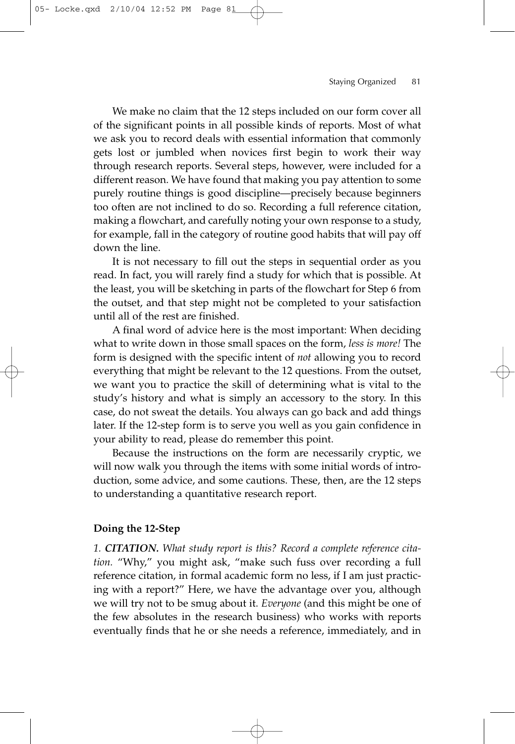We make no claim that the 12 steps included on our form cover all of the significant points in all possible kinds of reports. Most of what we ask you to record deals with essential information that commonly gets lost or jumbled when novices first begin to work their way through research reports. Several steps, however, were included for a different reason. We have found that making you pay attention to some purely routine things is good discipline—precisely because beginners too often are not inclined to do so. Recording a full reference citation, making a flowchart, and carefully noting your own response to a study, for example, fall in the category of routine good habits that will pay off down the line.

It is not necessary to fill out the steps in sequential order as you read. In fact, you will rarely find a study for which that is possible. At the least, you will be sketching in parts of the flowchart for Step 6 from the outset, and that step might not be completed to your satisfaction until all of the rest are finished.

A final word of advice here is the most important: When deciding what to write down in those small spaces on the form, *less is more!* The form is designed with the specific intent of *not* allowing you to record everything that might be relevant to the 12 questions. From the outset, we want you to practice the skill of determining what is vital to the study's history and what is simply an accessory to the story. In this case, do not sweat the details. You always can go back and add things later. If the 12-step form is to serve you well as you gain confidence in your ability to read, please do remember this point.

Because the instructions on the form are necessarily cryptic, we will now walk you through the items with some initial words of introduction, some advice, and some cautions. These, then, are the 12 steps to understanding a quantitative research report.

# **Doing the 12-Step**

*1. CITATION. What study report is this? Record a complete reference citation.* "Why," you might ask, "make such fuss over recording a full reference citation, in formal academic form no less, if I am just practicing with a report?" Here, we have the advantage over you, although we will try not to be smug about it. *Everyone* (and this might be one of the few absolutes in the research business) who works with reports eventually finds that he or she needs a reference, immediately, and in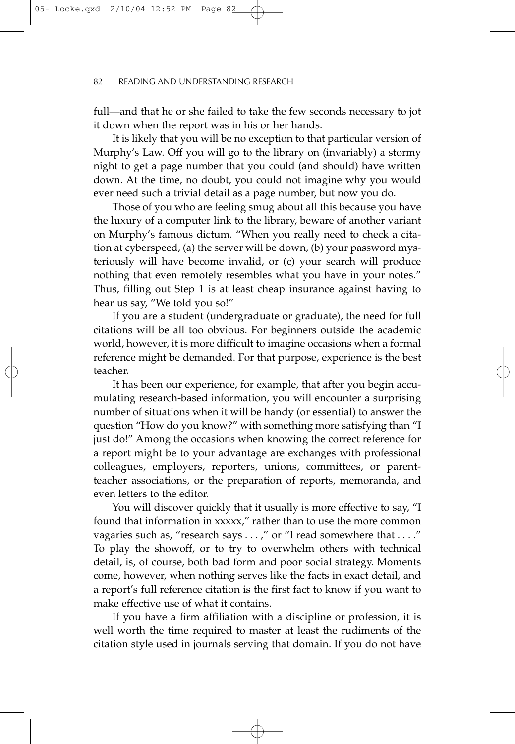full—and that he or she failed to take the few seconds necessary to jot it down when the report was in his or her hands.

It is likely that you will be no exception to that particular version of Murphy's Law. Off you will go to the library on (invariably) a stormy night to get a page number that you could (and should) have written down. At the time, no doubt, you could not imagine why you would ever need such a trivial detail as a page number, but now you do.

Those of you who are feeling smug about all this because you have the luxury of a computer link to the library, beware of another variant on Murphy's famous dictum. "When you really need to check a citation at cyberspeed, (a) the server will be down, (b) your password mysteriously will have become invalid, or (c) your search will produce nothing that even remotely resembles what you have in your notes." Thus, filling out Step 1 is at least cheap insurance against having to hear us say, "We told you so!"

If you are a student (undergraduate or graduate), the need for full citations will be all too obvious. For beginners outside the academic world, however, it is more difficult to imagine occasions when a formal reference might be demanded. For that purpose, experience is the best teacher.

It has been our experience, for example, that after you begin accumulating research-based information, you will encounter a surprising number of situations when it will be handy (or essential) to answer the question "How do you know?" with something more satisfying than "I just do!" Among the occasions when knowing the correct reference for a report might be to your advantage are exchanges with professional colleagues, employers, reporters, unions, committees, or parentteacher associations, or the preparation of reports, memoranda, and even letters to the editor.

You will discover quickly that it usually is more effective to say, "I found that information in xxxxx," rather than to use the more common vagaries such as, "research says . . . ," or "I read somewhere that . . . ." To play the showoff, or to try to overwhelm others with technical detail, is, of course, both bad form and poor social strategy. Moments come, however, when nothing serves like the facts in exact detail, and a report's full reference citation is the first fact to know if you want to make effective use of what it contains.

If you have a firm affiliation with a discipline or profession, it is well worth the time required to master at least the rudiments of the citation style used in journals serving that domain. If you do not have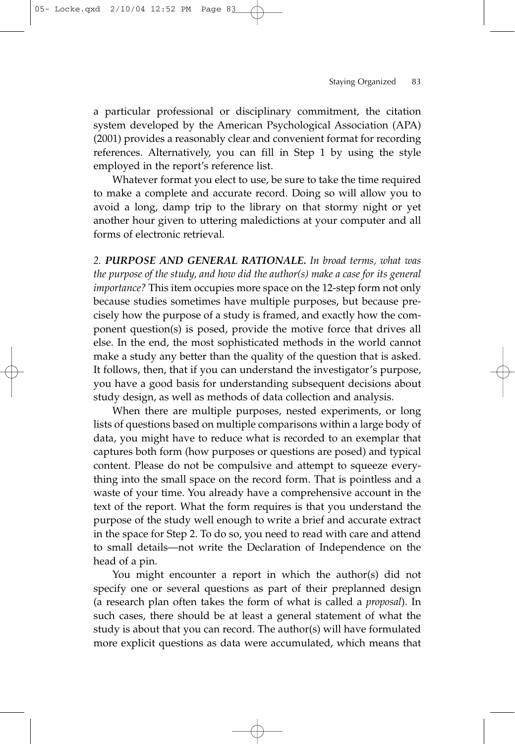a particular professional or disciplinary commitment, the citation system developed by the American Psychological Association (APA) (2001) provides a reasonably clear and convenient format for recording references. Alternatively, you can fill in Step 1 by using the style employed in the report's reference list.

Whatever format you elect to use, be sure to take the time required to make a complete and accurate record. Doing so will allow you to avoid a long, damp trip to the library on that stormy night or yet another hour given to uttering maledictions at your computer and all forms of electronic retrieval.

*2. PURPOSE AND GENERAL RATIONALE. In broad terms, what was the purpose of the study, and how did the author(s) make a case for its general importance?* This item occupies more space on the 12-step form not only because studies sometimes have multiple purposes, but because precisely how the purpose of a study is framed, and exactly how the component question(s) is posed, provide the motive force that drives all else. In the end, the most sophisticated methods in the world cannot make a study any better than the quality of the question that is asked. It follows, then, that if you can understand the investigator's purpose, you have a good basis for understanding subsequent decisions about study design, as well as methods of data collection and analysis.

When there are multiple purposes, nested experiments, or long lists of questions based on multiple comparisons within a large body of data, you might have to reduce what is recorded to an exemplar that captures both form (how purposes or questions are posed) and typical content. Please do not be compulsive and attempt to squeeze everything into the small space on the record form. That is pointless and a waste of your time. You already have a comprehensive account in the text of the report. What the form requires is that you understand the purpose of the study well enough to write a brief and accurate extract in the space for Step 2. To do so, you need to read with care and attend to small details—not write the Declaration of Independence on the head of a pin.

You might encounter a report in which the author(s) did not specify one or several questions as part of their preplanned design (a research plan often takes the form of what is called a *proposal*). In such cases, there should be at least a general statement of what the study is about that you can record. The author(s) will have formulated more explicit questions as data were accumulated, which means that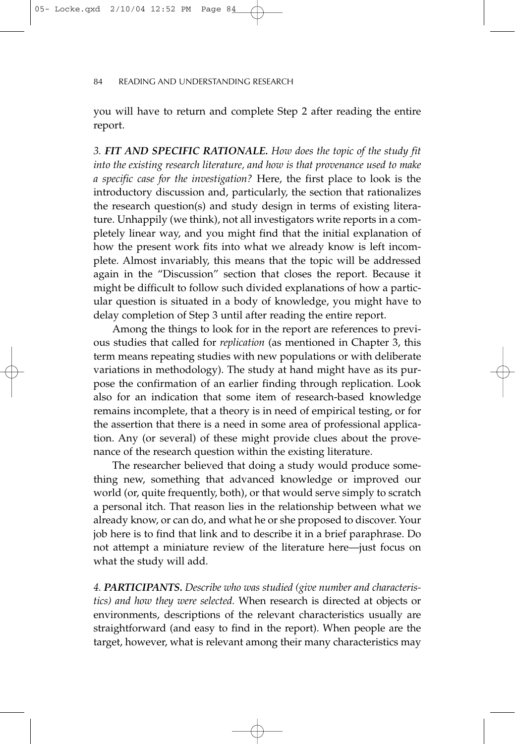you will have to return and complete Step 2 after reading the entire report.

*3. FIT AND SPECIFIC RATIONALE. How does the topic of the study fit into the existing research literature, and how is that provenance used to make a specific case for the investigation?* Here, the first place to look is the introductory discussion and, particularly, the section that rationalizes the research question(s) and study design in terms of existing literature. Unhappily (we think), not all investigators write reports in a completely linear way, and you might find that the initial explanation of how the present work fits into what we already know is left incomplete. Almost invariably, this means that the topic will be addressed again in the "Discussion" section that closes the report. Because it might be difficult to follow such divided explanations of how a particular question is situated in a body of knowledge, you might have to delay completion of Step 3 until after reading the entire report.

Among the things to look for in the report are references to previous studies that called for *replication* (as mentioned in Chapter 3, this term means repeating studies with new populations or with deliberate variations in methodology). The study at hand might have as its purpose the confirmation of an earlier finding through replication. Look also for an indication that some item of research-based knowledge remains incomplete, that a theory is in need of empirical testing, or for the assertion that there is a need in some area of professional application. Any (or several) of these might provide clues about the provenance of the research question within the existing literature.

The researcher believed that doing a study would produce something new, something that advanced knowledge or improved our world (or, quite frequently, both), or that would serve simply to scratch a personal itch. That reason lies in the relationship between what we already know, or can do, and what he or she proposed to discover. Your job here is to find that link and to describe it in a brief paraphrase. Do not attempt a miniature review of the literature here—just focus on what the study will add.

*4. PARTICIPANTS. Describe who was studied (give number and characteristics) and how they were selected.* When research is directed at objects or environments, descriptions of the relevant characteristics usually are straightforward (and easy to find in the report). When people are the target, however, what is relevant among their many characteristics may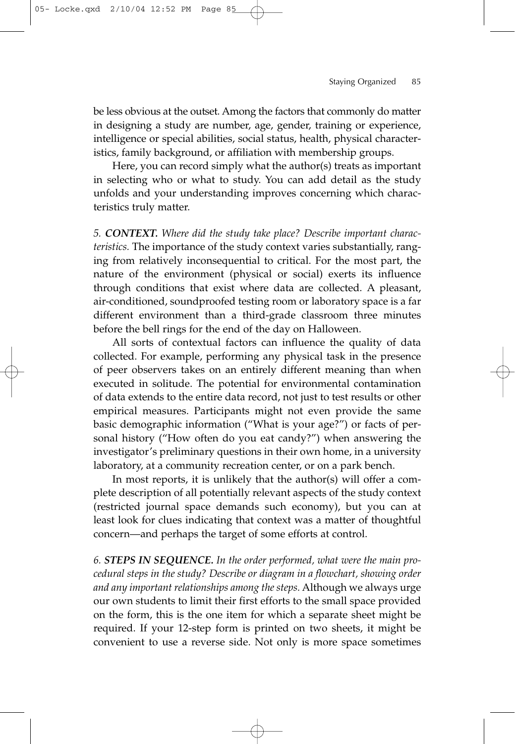be less obvious at the outset. Among the factors that commonly do matter in designing a study are number, age, gender, training or experience, intelligence or special abilities, social status, health, physical characteristics, family background, or affiliation with membership groups.

Here, you can record simply what the author(s) treats as important in selecting who or what to study. You can add detail as the study unfolds and your understanding improves concerning which characteristics truly matter.

*5. CONTEXT. Where did the study take place? Describe important characteristics.* The importance of the study context varies substantially, ranging from relatively inconsequential to critical. For the most part, the nature of the environment (physical or social) exerts its influence through conditions that exist where data are collected. A pleasant, air-conditioned, soundproofed testing room or laboratory space is a far different environment than a third-grade classroom three minutes before the bell rings for the end of the day on Halloween.

All sorts of contextual factors can influence the quality of data collected. For example, performing any physical task in the presence of peer observers takes on an entirely different meaning than when executed in solitude. The potential for environmental contamination of data extends to the entire data record, not just to test results or other empirical measures. Participants might not even provide the same basic demographic information ("What is your age?") or facts of personal history ("How often do you eat candy?") when answering the investigator's preliminary questions in their own home, in a university laboratory, at a community recreation center, or on a park bench.

In most reports, it is unlikely that the author(s) will offer a complete description of all potentially relevant aspects of the study context (restricted journal space demands such economy), but you can at least look for clues indicating that context was a matter of thoughtful concern—and perhaps the target of some efforts at control.

*6. STEPS IN SEQUENCE. In the order performed, what were the main procedural steps in the study? Describe or diagram in a flowchart, showing order and any important relationships among the steps.* Although we always urge our own students to limit their first efforts to the small space provided on the form, this is the one item for which a separate sheet might be required. If your 12-step form is printed on two sheets, it might be convenient to use a reverse side. Not only is more space sometimes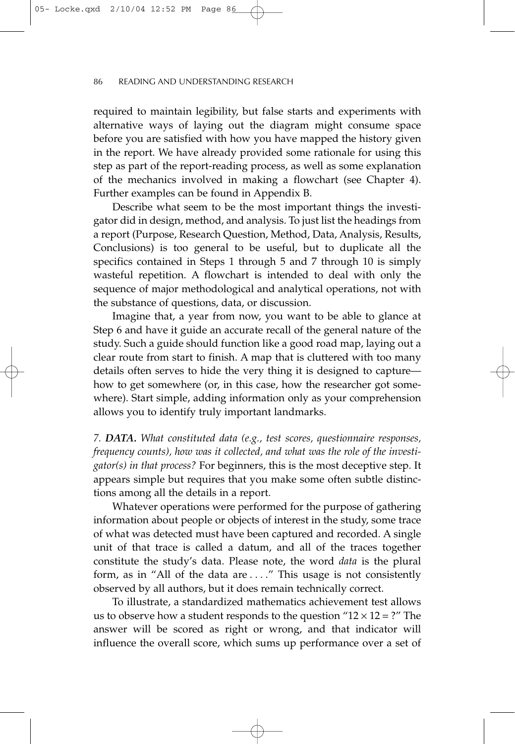required to maintain legibility, but false starts and experiments with alternative ways of laying out the diagram might consume space before you are satisfied with how you have mapped the history given in the report. We have already provided some rationale for using this step as part of the report-reading process, as well as some explanation of the mechanics involved in making a flowchart (see Chapter 4). Further examples can be found in Appendix B.

Describe what seem to be the most important things the investigator did in design, method, and analysis. To just list the headings from a report (Purpose, Research Question, Method, Data, Analysis, Results, Conclusions) is too general to be useful, but to duplicate all the specifics contained in Steps 1 through 5 and 7 through 10 is simply wasteful repetition. A flowchart is intended to deal with only the sequence of major methodological and analytical operations, not with the substance of questions, data, or discussion.

Imagine that, a year from now, you want to be able to glance at Step 6 and have it guide an accurate recall of the general nature of the study. Such a guide should function like a good road map, laying out a clear route from start to finish. A map that is cluttered with too many details often serves to hide the very thing it is designed to capture how to get somewhere (or, in this case, how the researcher got somewhere). Start simple, adding information only as your comprehension allows you to identify truly important landmarks.

*7. DATA. What constituted data (e.g., test scores, questionnaire responses, frequency counts), how was it collected, and what was the role of the investigator(s) in that process?* For beginners, this is the most deceptive step. It appears simple but requires that you make some often subtle distinctions among all the details in a report.

Whatever operations were performed for the purpose of gathering information about people or objects of interest in the study, some trace of what was detected must have been captured and recorded. A single unit of that trace is called a datum, and all of the traces together constitute the study's data. Please note, the word *data* is the plural form, as in "All of the data are . . . ." This usage is not consistently observed by all authors, but it does remain technically correct.

To illustrate, a standardized mathematics achievement test allows us to observe how a student responds to the question " $12 \times 12 =$ ?" The answer will be scored as right or wrong, and that indicator will influence the overall score, which sums up performance over a set of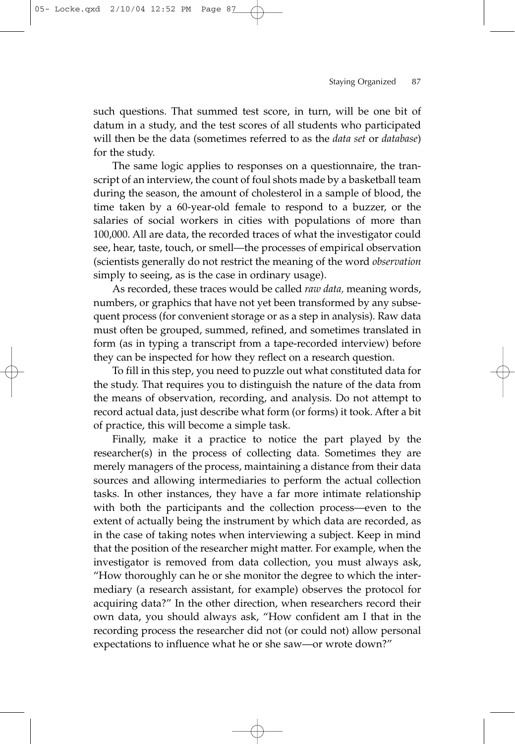such questions. That summed test score, in turn, will be one bit of datum in a study, and the test scores of all students who participated will then be the data (sometimes referred to as the *data set* or *database*) for the study.

The same logic applies to responses on a questionnaire, the transcript of an interview, the count of foul shots made by a basketball team during the season, the amount of cholesterol in a sample of blood, the time taken by a 60-year-old female to respond to a buzzer, or the salaries of social workers in cities with populations of more than 100,000. All are data, the recorded traces of what the investigator could see, hear, taste, touch, or smell—the processes of empirical observation (scientists generally do not restrict the meaning of the word *observation* simply to seeing, as is the case in ordinary usage).

As recorded, these traces would be called *raw data,* meaning words, numbers, or graphics that have not yet been transformed by any subsequent process (for convenient storage or as a step in analysis). Raw data must often be grouped, summed, refined, and sometimes translated in form (as in typing a transcript from a tape-recorded interview) before they can be inspected for how they reflect on a research question.

To fill in this step, you need to puzzle out what constituted data for the study. That requires you to distinguish the nature of the data from the means of observation, recording, and analysis. Do not attempt to record actual data, just describe what form (or forms) it took. After a bit of practice, this will become a simple task.

Finally, make it a practice to notice the part played by the researcher(s) in the process of collecting data. Sometimes they are merely managers of the process, maintaining a distance from their data sources and allowing intermediaries to perform the actual collection tasks. In other instances, they have a far more intimate relationship with both the participants and the collection process—even to the extent of actually being the instrument by which data are recorded, as in the case of taking notes when interviewing a subject. Keep in mind that the position of the researcher might matter. For example, when the investigator is removed from data collection, you must always ask, "How thoroughly can he or she monitor the degree to which the intermediary (a research assistant, for example) observes the protocol for acquiring data?" In the other direction, when researchers record their own data, you should always ask, "How confident am I that in the recording process the researcher did not (or could not) allow personal expectations to influence what he or she saw—or wrote down?"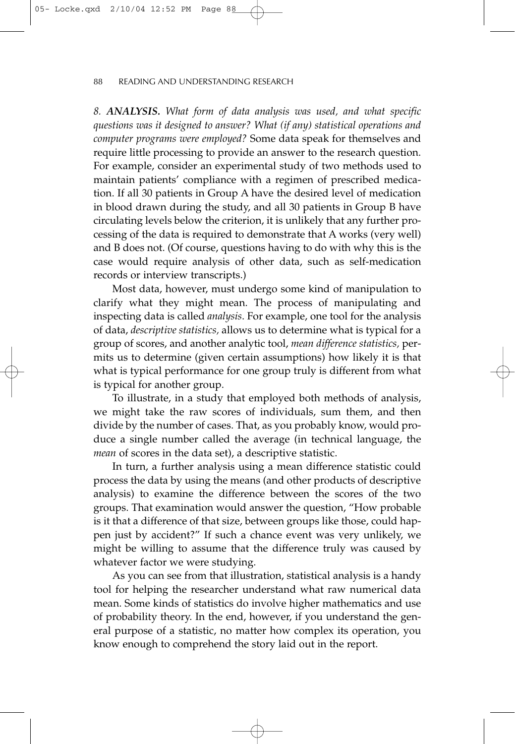*8. ANALYSIS. What form of data analysis was used, and what specific questions was it designed to answer? What (if any) statistical operations and computer programs were employed?* Some data speak for themselves and require little processing to provide an answer to the research question. For example, consider an experimental study of two methods used to maintain patients' compliance with a regimen of prescribed medication. If all 30 patients in Group A have the desired level of medication in blood drawn during the study, and all 30 patients in Group B have circulating levels below the criterion, it is unlikely that any further processing of the data is required to demonstrate that A works (very well) and B does not. (Of course, questions having to do with why this is the case would require analysis of other data, such as self-medication records or interview transcripts.)

Most data, however, must undergo some kind of manipulation to clarify what they might mean. The process of manipulating and inspecting data is called *analysis*. For example, one tool for the analysis of data, *descriptive statistics,* allows us to determine what is typical for a group of scores, and another analytic tool, *mean difference statistics,* permits us to determine (given certain assumptions) how likely it is that what is typical performance for one group truly is different from what is typical for another group.

To illustrate, in a study that employed both methods of analysis, we might take the raw scores of individuals, sum them, and then divide by the number of cases. That, as you probably know, would produce a single number called the average (in technical language, the *mean* of scores in the data set), a descriptive statistic.

In turn, a further analysis using a mean difference statistic could process the data by using the means (and other products of descriptive analysis) to examine the difference between the scores of the two groups. That examination would answer the question, "How probable is it that a difference of that size, between groups like those, could happen just by accident?" If such a chance event was very unlikely, we might be willing to assume that the difference truly was caused by whatever factor we were studying.

As you can see from that illustration, statistical analysis is a handy tool for helping the researcher understand what raw numerical data mean. Some kinds of statistics do involve higher mathematics and use of probability theory. In the end, however, if you understand the general purpose of a statistic, no matter how complex its operation, you know enough to comprehend the story laid out in the report.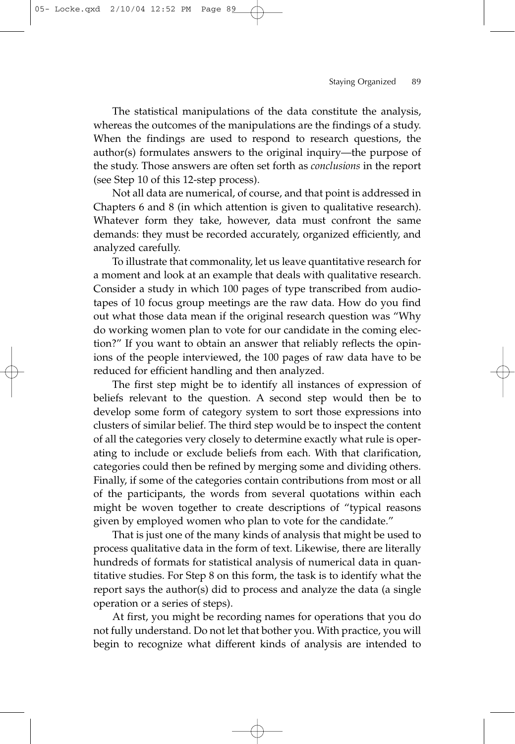The statistical manipulations of the data constitute the analysis, whereas the outcomes of the manipulations are the findings of a study. When the findings are used to respond to research questions, the author(s) formulates answers to the original inquiry—the purpose of the study. Those answers are often set forth as *conclusions* in the report (see Step 10 of this 12-step process).

Not all data are numerical, of course, and that point is addressed in Chapters 6 and 8 (in which attention is given to qualitative research). Whatever form they take, however, data must confront the same demands: they must be recorded accurately, organized efficiently, and analyzed carefully.

To illustrate that commonality, let us leave quantitative research for a moment and look at an example that deals with qualitative research. Consider a study in which 100 pages of type transcribed from audiotapes of 10 focus group meetings are the raw data. How do you find out what those data mean if the original research question was "Why do working women plan to vote for our candidate in the coming election?" If you want to obtain an answer that reliably reflects the opinions of the people interviewed, the 100 pages of raw data have to be reduced for efficient handling and then analyzed.

The first step might be to identify all instances of expression of beliefs relevant to the question. A second step would then be to develop some form of category system to sort those expressions into clusters of similar belief. The third step would be to inspect the content of all the categories very closely to determine exactly what rule is operating to include or exclude beliefs from each. With that clarification, categories could then be refined by merging some and dividing others. Finally, if some of the categories contain contributions from most or all of the participants, the words from several quotations within each might be woven together to create descriptions of "typical reasons given by employed women who plan to vote for the candidate."

That is just one of the many kinds of analysis that might be used to process qualitative data in the form of text. Likewise, there are literally hundreds of formats for statistical analysis of numerical data in quantitative studies. For Step 8 on this form, the task is to identify what the report says the author(s) did to process and analyze the data (a single operation or a series of steps).

At first, you might be recording names for operations that you do not fully understand. Do not let that bother you. With practice, you will begin to recognize what different kinds of analysis are intended to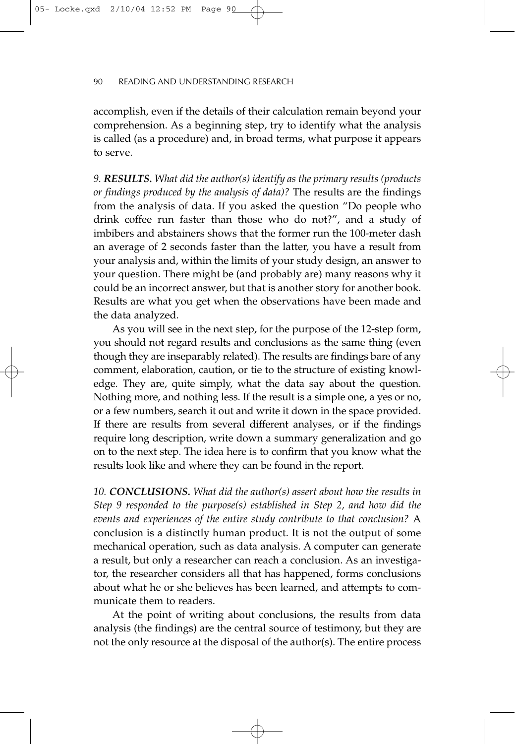accomplish, even if the details of their calculation remain beyond your comprehension. As a beginning step, try to identify what the analysis is called (as a procedure) and, in broad terms, what purpose it appears to serve.

*9. RESULTS. What did the author(s) identify as the primary results (products or findings produced by the analysis of data)?* The results are the findings from the analysis of data. If you asked the question "Do people who drink coffee run faster than those who do not?", and a study of imbibers and abstainers shows that the former run the 100-meter dash an average of 2 seconds faster than the latter, you have a result from your analysis and, within the limits of your study design, an answer to your question. There might be (and probably are) many reasons why it could be an incorrect answer, but that is another story for another book. Results are what you get when the observations have been made and the data analyzed.

As you will see in the next step, for the purpose of the 12-step form, you should not regard results and conclusions as the same thing (even though they are inseparably related). The results are findings bare of any comment, elaboration, caution, or tie to the structure of existing knowledge. They are, quite simply, what the data say about the question. Nothing more, and nothing less. If the result is a simple one, a yes or no, or a few numbers, search it out and write it down in the space provided. If there are results from several different analyses, or if the findings require long description, write down a summary generalization and go on to the next step. The idea here is to confirm that you know what the results look like and where they can be found in the report.

*10. CONCLUSIONS. What did the author(s) assert about how the results in Step 9 responded to the purpose(s) established in Step 2, and how did the events and experiences of the entire study contribute to that conclusion?* A conclusion is a distinctly human product. It is not the output of some mechanical operation, such as data analysis. A computer can generate a result, but only a researcher can reach a conclusion. As an investigator, the researcher considers all that has happened, forms conclusions about what he or she believes has been learned, and attempts to communicate them to readers.

At the point of writing about conclusions, the results from data analysis (the findings) are the central source of testimony, but they are not the only resource at the disposal of the author(s). The entire process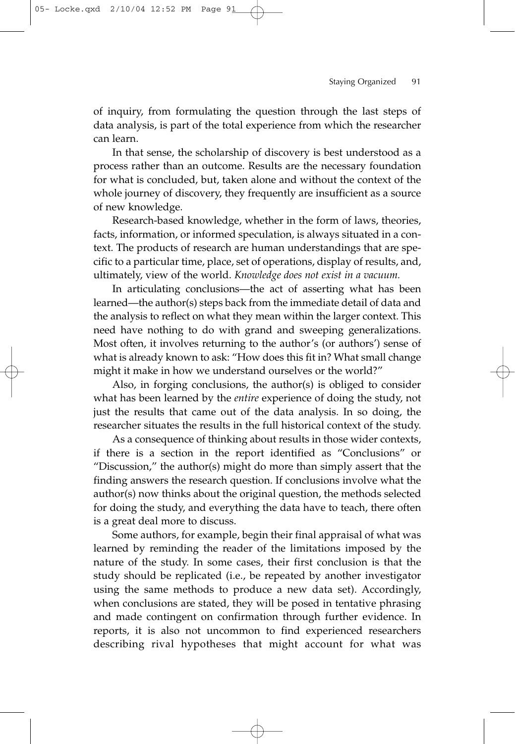of inquiry, from formulating the question through the last steps of data analysis, is part of the total experience from which the researcher can learn.

In that sense, the scholarship of discovery is best understood as a process rather than an outcome. Results are the necessary foundation for what is concluded, but, taken alone and without the context of the whole journey of discovery, they frequently are insufficient as a source of new knowledge.

Research-based knowledge, whether in the form of laws, theories, facts, information, or informed speculation, is always situated in a context. The products of research are human understandings that are specific to a particular time, place, set of operations, display of results, and, ultimately, view of the world. *Knowledge does not exist in a vacuum.*

In articulating conclusions—the act of asserting what has been learned—the author(s) steps back from the immediate detail of data and the analysis to reflect on what they mean within the larger context. This need have nothing to do with grand and sweeping generalizations. Most often, it involves returning to the author's (or authors') sense of what is already known to ask: "How does this fit in? What small change might it make in how we understand ourselves or the world?"

Also, in forging conclusions, the author(s) is obliged to consider what has been learned by the *entire* experience of doing the study, not just the results that came out of the data analysis. In so doing, the researcher situates the results in the full historical context of the study.

As a consequence of thinking about results in those wider contexts, if there is a section in the report identified as "Conclusions" or "Discussion," the author(s) might do more than simply assert that the finding answers the research question. If conclusions involve what the author(s) now thinks about the original question, the methods selected for doing the study, and everything the data have to teach, there often is a great deal more to discuss.

Some authors, for example, begin their final appraisal of what was learned by reminding the reader of the limitations imposed by the nature of the study. In some cases, their first conclusion is that the study should be replicated (i.e., be repeated by another investigator using the same methods to produce a new data set). Accordingly, when conclusions are stated, they will be posed in tentative phrasing and made contingent on confirmation through further evidence. In reports, it is also not uncommon to find experienced researchers describing rival hypotheses that might account for what was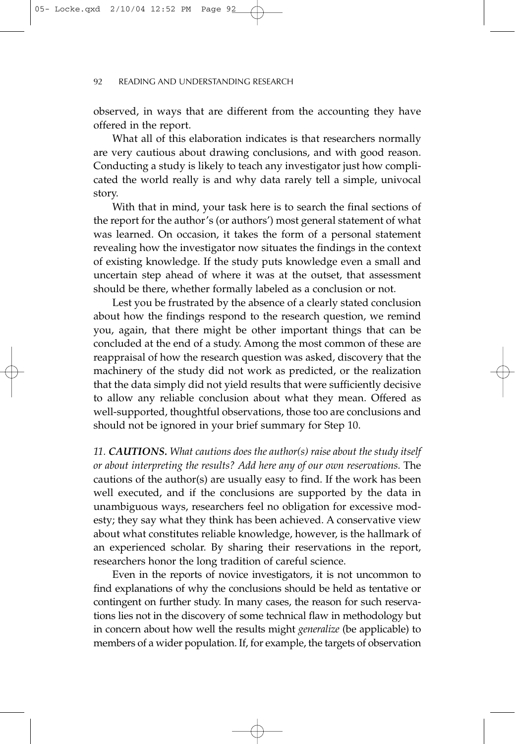observed, in ways that are different from the accounting they have offered in the report.

What all of this elaboration indicates is that researchers normally are very cautious about drawing conclusions, and with good reason. Conducting a study is likely to teach any investigator just how complicated the world really is and why data rarely tell a simple, univocal story.

With that in mind, your task here is to search the final sections of the report for the author's (or authors') most general statement of what was learned. On occasion, it takes the form of a personal statement revealing how the investigator now situates the findings in the context of existing knowledge. If the study puts knowledge even a small and uncertain step ahead of where it was at the outset, that assessment should be there, whether formally labeled as a conclusion or not.

Lest you be frustrated by the absence of a clearly stated conclusion about how the findings respond to the research question, we remind you, again, that there might be other important things that can be concluded at the end of a study. Among the most common of these are reappraisal of how the research question was asked, discovery that the machinery of the study did not work as predicted, or the realization that the data simply did not yield results that were sufficiently decisive to allow any reliable conclusion about what they mean. Offered as well-supported, thoughtful observations, those too are conclusions and should not be ignored in your brief summary for Step 10.

*11. CAUTIONS. What cautions does the author(s) raise about the study itself or about interpreting the results? Add here any of our own reservations.* The cautions of the author(s) are usually easy to find. If the work has been well executed, and if the conclusions are supported by the data in unambiguous ways, researchers feel no obligation for excessive modesty; they say what they think has been achieved. A conservative view about what constitutes reliable knowledge, however, is the hallmark of an experienced scholar. By sharing their reservations in the report, researchers honor the long tradition of careful science.

Even in the reports of novice investigators, it is not uncommon to find explanations of why the conclusions should be held as tentative or contingent on further study. In many cases, the reason for such reservations lies not in the discovery of some technical flaw in methodology but in concern about how well the results might *generalize* (be applicable) to members of a wider population. If, for example, the targets of observation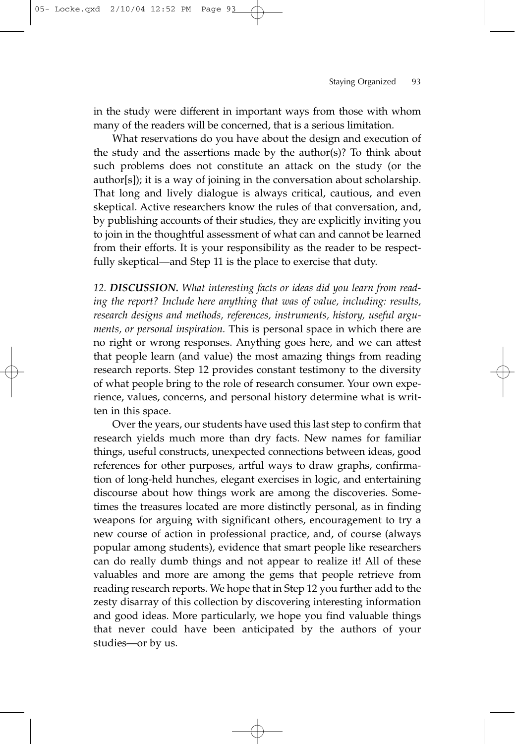in the study were different in important ways from those with whom many of the readers will be concerned, that is a serious limitation.

What reservations do you have about the design and execution of the study and the assertions made by the author(s)? To think about such problems does not constitute an attack on the study (or the author[s]); it is a way of joining in the conversation about scholarship. That long and lively dialogue is always critical, cautious, and even skeptical. Active researchers know the rules of that conversation, and, by publishing accounts of their studies, they are explicitly inviting you to join in the thoughtful assessment of what can and cannot be learned from their efforts. It is your responsibility as the reader to be respectfully skeptical—and Step 11 is the place to exercise that duty.

*12. DISCUSSION. What interesting facts or ideas did you learn from reading the report? Include here anything that was of value, including: results, research designs and methods, references, instruments, history, useful arguments, or personal inspiration.* This is personal space in which there are no right or wrong responses. Anything goes here, and we can attest that people learn (and value) the most amazing things from reading research reports. Step 12 provides constant testimony to the diversity of what people bring to the role of research consumer. Your own experience, values, concerns, and personal history determine what is written in this space.

Over the years, our students have used this last step to confirm that research yields much more than dry facts. New names for familiar things, useful constructs, unexpected connections between ideas, good references for other purposes, artful ways to draw graphs, confirmation of long-held hunches, elegant exercises in logic, and entertaining discourse about how things work are among the discoveries. Sometimes the treasures located are more distinctly personal, as in finding weapons for arguing with significant others, encouragement to try a new course of action in professional practice, and, of course (always popular among students), evidence that smart people like researchers can do really dumb things and not appear to realize it! All of these valuables and more are among the gems that people retrieve from reading research reports. We hope that in Step 12 you further add to the zesty disarray of this collection by discovering interesting information and good ideas. More particularly, we hope you find valuable things that never could have been anticipated by the authors of your studies—or by us.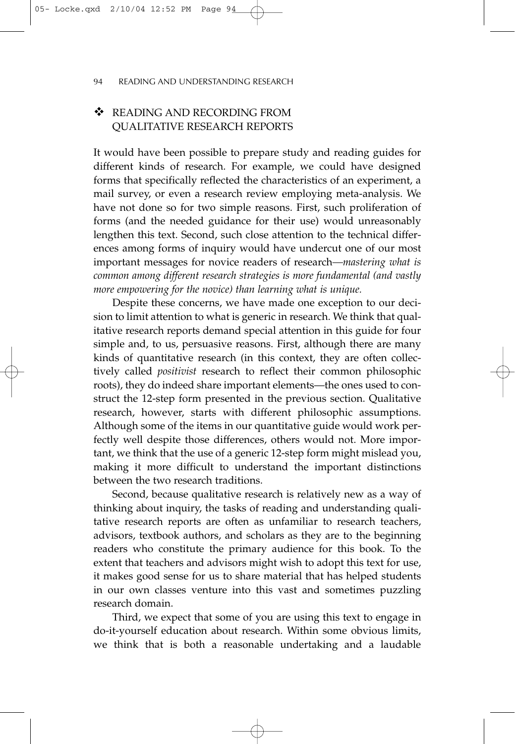# ❖ READING AND RECORDING FROM QUALITATIVE RESEARCH REPORTS

It would have been possible to prepare study and reading guides for different kinds of research. For example, we could have designed forms that specifically reflected the characteristics of an experiment, a mail survey, or even a research review employing meta-analysis. We have not done so for two simple reasons. First, such proliferation of forms (and the needed guidance for their use) would unreasonably lengthen this text. Second, such close attention to the technical differences among forms of inquiry would have undercut one of our most important messages for novice readers of research*—mastering what is common among different research strategies is more fundamental (and vastly more empowering for the novice) than learning what is unique.*

Despite these concerns, we have made one exception to our decision to limit attention to what is generic in research. We think that qualitative research reports demand special attention in this guide for four simple and, to us, persuasive reasons. First, although there are many kinds of quantitative research (in this context, they are often collectively called *positivist* research to reflect their common philosophic roots), they do indeed share important elements—the ones used to construct the 12-step form presented in the previous section. Qualitative research, however, starts with different philosophic assumptions. Although some of the items in our quantitative guide would work perfectly well despite those differences, others would not. More important, we think that the use of a generic 12-step form might mislead you, making it more difficult to understand the important distinctions between the two research traditions.

Second, because qualitative research is relatively new as a way of thinking about inquiry, the tasks of reading and understanding qualitative research reports are often as unfamiliar to research teachers, advisors, textbook authors, and scholars as they are to the beginning readers who constitute the primary audience for this book. To the extent that teachers and advisors might wish to adopt this text for use, it makes good sense for us to share material that has helped students in our own classes venture into this vast and sometimes puzzling research domain.

Third, we expect that some of you are using this text to engage in do-it-yourself education about research. Within some obvious limits, we think that is both a reasonable undertaking and a laudable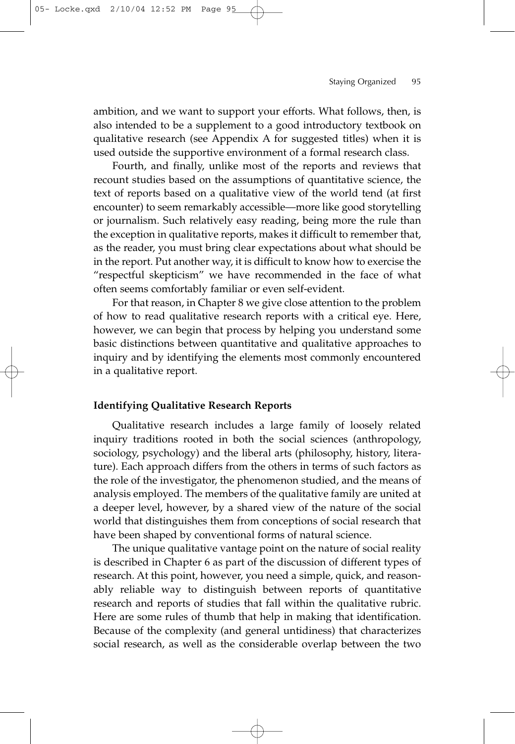ambition, and we want to support your efforts. What follows, then, is also intended to be a supplement to a good introductory textbook on qualitative research (see Appendix A for suggested titles) when it is used outside the supportive environment of a formal research class.

Fourth, and finally, unlike most of the reports and reviews that recount studies based on the assumptions of quantitative science, the text of reports based on a qualitative view of the world tend (at first encounter) to seem remarkably accessible—more like good storytelling or journalism. Such relatively easy reading, being more the rule than the exception in qualitative reports, makes it difficult to remember that, as the reader, you must bring clear expectations about what should be in the report. Put another way, it is difficult to know how to exercise the "respectful skepticism" we have recommended in the face of what often seems comfortably familiar or even self-evident.

For that reason, in Chapter 8 we give close attention to the problem of how to read qualitative research reports with a critical eye. Here, however, we can begin that process by helping you understand some basic distinctions between quantitative and qualitative approaches to inquiry and by identifying the elements most commonly encountered in a qualitative report.

## **Identifying Qualitative Research Reports**

Qualitative research includes a large family of loosely related inquiry traditions rooted in both the social sciences (anthropology, sociology, psychology) and the liberal arts (philosophy, history, literature). Each approach differs from the others in terms of such factors as the role of the investigator, the phenomenon studied, and the means of analysis employed. The members of the qualitative family are united at a deeper level, however, by a shared view of the nature of the social world that distinguishes them from conceptions of social research that have been shaped by conventional forms of natural science.

The unique qualitative vantage point on the nature of social reality is described in Chapter 6 as part of the discussion of different types of research. At this point, however, you need a simple, quick, and reasonably reliable way to distinguish between reports of quantitative research and reports of studies that fall within the qualitative rubric. Here are some rules of thumb that help in making that identification. Because of the complexity (and general untidiness) that characterizes social research, as well as the considerable overlap between the two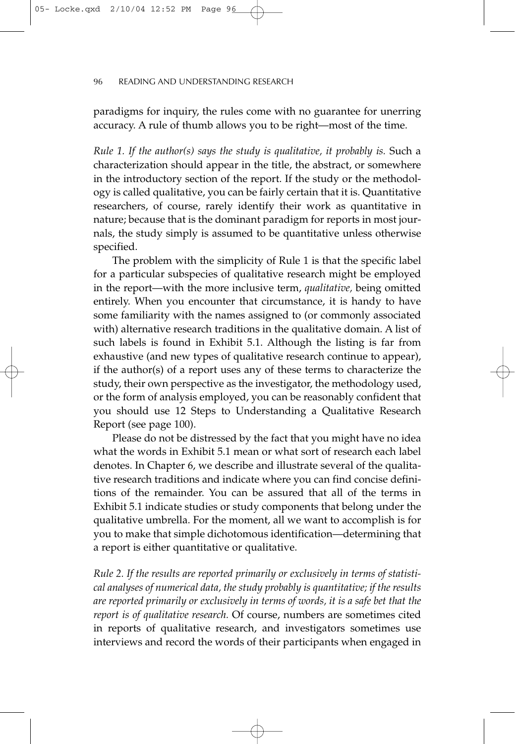paradigms for inquiry, the rules come with no guarantee for unerring accuracy. A rule of thumb allows you to be right—most of the time.

*Rule 1. If the author(s) says the study is qualitative, it probably is.* Such a characterization should appear in the title, the abstract, or somewhere in the introductory section of the report. If the study or the methodology is called qualitative, you can be fairly certain that it is. Quantitative researchers, of course, rarely identify their work as quantitative in nature; because that is the dominant paradigm for reports in most journals, the study simply is assumed to be quantitative unless otherwise specified.

The problem with the simplicity of Rule 1 is that the specific label for a particular subspecies of qualitative research might be employed in the report—with the more inclusive term, *qualitative,* being omitted entirely. When you encounter that circumstance, it is handy to have some familiarity with the names assigned to (or commonly associated with) alternative research traditions in the qualitative domain. A list of such labels is found in Exhibit 5.1. Although the listing is far from exhaustive (and new types of qualitative research continue to appear), if the author(s) of a report uses any of these terms to characterize the study, their own perspective as the investigator, the methodology used, or the form of analysis employed, you can be reasonably confident that you should use 12 Steps to Understanding a Qualitative Research Report (see page 100).

Please do not be distressed by the fact that you might have no idea what the words in Exhibit 5.1 mean or what sort of research each label denotes. In Chapter 6, we describe and illustrate several of the qualitative research traditions and indicate where you can find concise definitions of the remainder. You can be assured that all of the terms in Exhibit 5.1 indicate studies or study components that belong under the qualitative umbrella. For the moment, all we want to accomplish is for you to make that simple dichotomous identification—determining that a report is either quantitative or qualitative.

*Rule 2. If the results are reported primarily or exclusively in terms of statistical analyses of numerical data, the study probably is quantitative; if the results are reported primarily or exclusively in terms of words, it is a safe bet that the report is of qualitative research.* Of course, numbers are sometimes cited in reports of qualitative research, and investigators sometimes use interviews and record the words of their participants when engaged in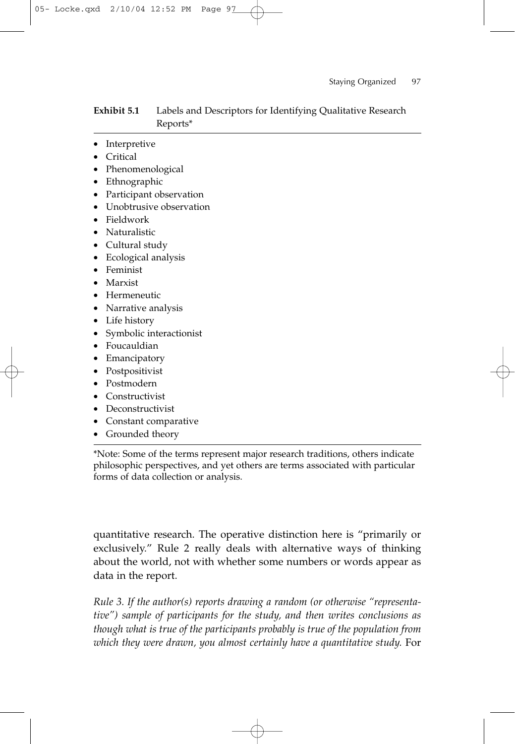| Exhibit 5.1 | Labels and Descriptors for Identifying Qualitative Research |
|-------------|-------------------------------------------------------------|
|             | Reports*                                                    |

- **Interpretive**
- Critical
- Phenomenological
- Ethnographic
- Participant observation
- Unobtrusive observation
- Fieldwork
- Naturalistic
- Cultural study
- Ecological analysis
- Feminist
- Marxist
- Hermeneutic
- Narrative analysis
- Life history
- Symbolic interactionist
- Foucauldian
- **Emancipatory**
- Postpositivist
- Postmodern
- Constructivist
- Deconstructivist
- Constant comparative
- Grounded theory

\*Note: Some of the terms represent major research traditions, others indicate philosophic perspectives, and yet others are terms associated with particular forms of data collection or analysis.

quantitative research. The operative distinction here is "primarily or exclusively." Rule 2 really deals with alternative ways of thinking about the world, not with whether some numbers or words appear as data in the report.

*Rule 3. If the author(s) reports drawing a random (or otherwise "representative") sample of participants for the study, and then writes conclusions as though what is true of the participants probably is true of the population from which they were drawn, you almost certainly have a quantitative study.* For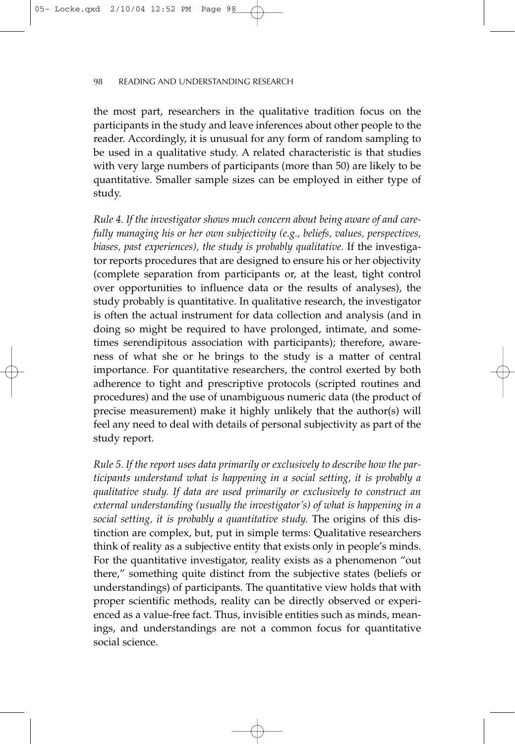the most part, researchers in the qualitative tradition focus on the participants in the study and leave inferences about other people to the reader. Accordingly, it is unusual for any form of random sampling to be used in a qualitative study. A related characteristic is that studies with very large numbers of participants (more than 50) are likely to be quantitative. Smaller sample sizes can be employed in either type of study.

*Rule 4. If the investigator shows much concern about being aware of and carefully managing his or her own subjectivity (e.g., beliefs, values, perspectives, biases, past experiences), the study is probably qualitative.* If the investigator reports procedures that are designed to ensure his or her objectivity (complete separation from participants or, at the least, tight control over opportunities to influence data or the results of analyses), the study probably is quantitative. In qualitative research, the investigator is often the actual instrument for data collection and analysis (and in doing so might be required to have prolonged, intimate, and sometimes serendipitous association with participants); therefore, awareness of what she or he brings to the study is a matter of central importance. For quantitative researchers, the control exerted by both adherence to tight and prescriptive protocols (scripted routines and procedures) and the use of unambiguous numeric data (the product of precise measurement) make it highly unlikely that the author(s) will feel any need to deal with details of personal subjectivity as part of the study report.

*Rule 5. If the report uses data primarily or exclusively to describe how the participants understand what is happening in a social setting, it is probably a qualitative study. If data are used primarily or exclusively to construct an external understanding (usually the investigator's) of what is happening in a social setting, it is probably a quantitative study.* The origins of this distinction are complex, but, put in simple terms: Qualitative researchers think of reality as a subjective entity that exists only in people's minds. For the quantitative investigator, reality exists as a phenomenon "out there," something quite distinct from the subjective states (beliefs or understandings) of participants. The quantitative view holds that with proper scientific methods, reality can be directly observed or experienced as a value-free fact. Thus, invisible entities such as minds, meanings, and understandings are not a common focus for quantitative social science.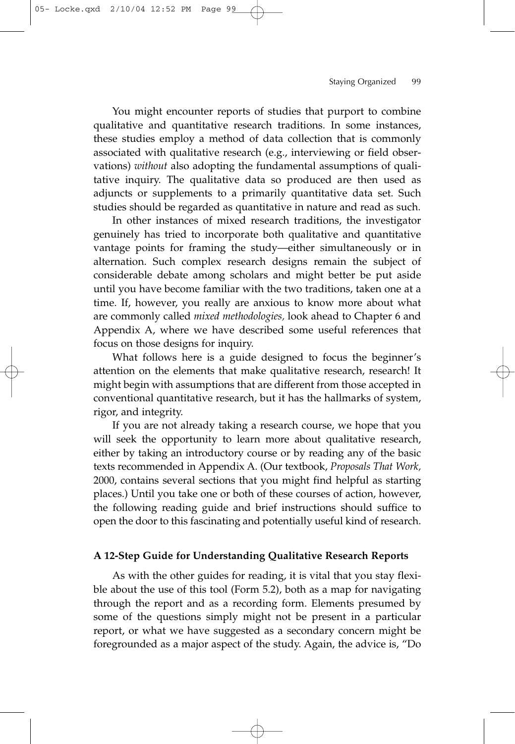You might encounter reports of studies that purport to combine qualitative and quantitative research traditions. In some instances, these studies employ a method of data collection that is commonly associated with qualitative research (e.g., interviewing or field observations) *without* also adopting the fundamental assumptions of qualitative inquiry. The qualitative data so produced are then used as adjuncts or supplements to a primarily quantitative data set. Such studies should be regarded as quantitative in nature and read as such.

In other instances of mixed research traditions, the investigator genuinely has tried to incorporate both qualitative and quantitative vantage points for framing the study—either simultaneously or in alternation. Such complex research designs remain the subject of considerable debate among scholars and might better be put aside until you have become familiar with the two traditions, taken one at a time. If, however, you really are anxious to know more about what are commonly called *mixed methodologies,* look ahead to Chapter 6 and Appendix A, where we have described some useful references that focus on those designs for inquiry.

What follows here is a guide designed to focus the beginner's attention on the elements that make qualitative research, research! It might begin with assumptions that are different from those accepted in conventional quantitative research, but it has the hallmarks of system, rigor, and integrity.

If you are not already taking a research course, we hope that you will seek the opportunity to learn more about qualitative research, either by taking an introductory course or by reading any of the basic texts recommended in Appendix A. (Our textbook, *Proposals That Work,* 2000, contains several sections that you might find helpful as starting places.) Until you take one or both of these courses of action, however, the following reading guide and brief instructions should suffice to open the door to this fascinating and potentially useful kind of research.

# **A 12-Step Guide for Understanding Qualitative Research Reports**

As with the other guides for reading, it is vital that you stay flexible about the use of this tool (Form 5.2), both as a map for navigating through the report and as a recording form. Elements presumed by some of the questions simply might not be present in a particular report, or what we have suggested as a secondary concern might be foregrounded as a major aspect of the study. Again, the advice is, "Do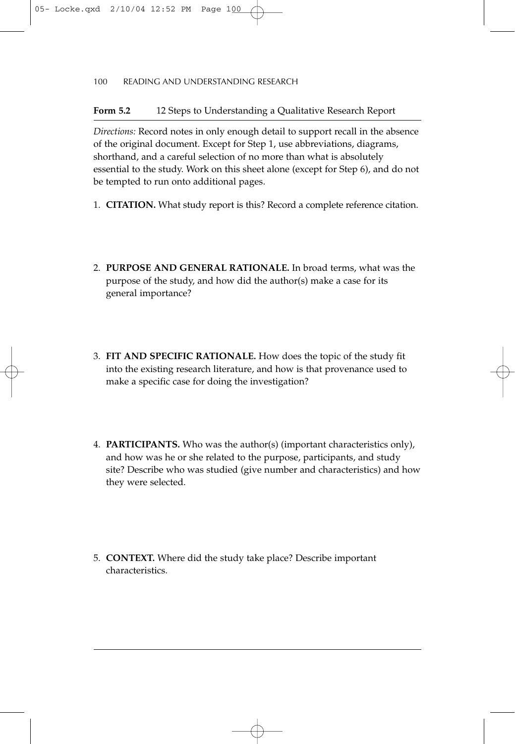#### **Form 5.2** 12 Steps to Understanding a Qualitative Research Report

*Directions:* Record notes in only enough detail to support recall in the absence of the original document. Except for Step 1, use abbreviations, diagrams, shorthand, and a careful selection of no more than what is absolutely essential to the study. Work on this sheet alone (except for Step 6), and do not be tempted to run onto additional pages.

- 1. **CITATION.** What study report is this? Record a complete reference citation.
- 2. **PURPOSE AND GENERAL RATIONALE.** In broad terms, what was the purpose of the study, and how did the author(s) make a case for its general importance?
- 3. **FIT AND SPECIFIC RATIONALE.** How does the topic of the study fit into the existing research literature, and how is that provenance used to make a specific case for doing the investigation?
- 4. **PARTICIPANTS.** Who was the author(s) (important characteristics only), and how was he or she related to the purpose, participants, and study site? Describe who was studied (give number and characteristics) and how they were selected.
- 5. **CONTEXT.** Where did the study take place? Describe important characteristics.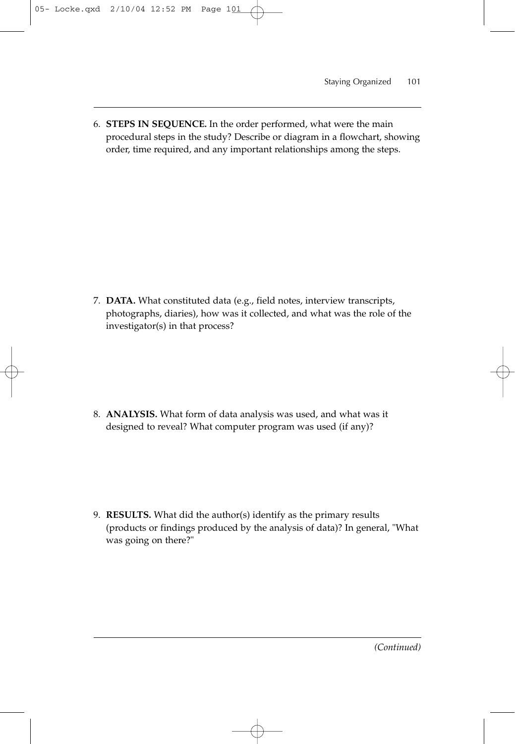6. **STEPS IN SEQUENCE.** In the order performed, what were the main procedural steps in the study? Describe or diagram in a flowchart, showing order, time required, and any important relationships among the steps.

7. **DATA.** What constituted data (e.g., field notes, interview transcripts, photographs, diaries), how was it collected, and what was the role of the investigator(s) in that process?

8. **ANALYSIS.** What form of data analysis was used, and what was it designed to reveal? What computer program was used (if any)?

9. **RESULTS.** What did the author(s) identify as the primary results (products or findings produced by the analysis of data)? In general, "What was going on there?"

*(Continued)*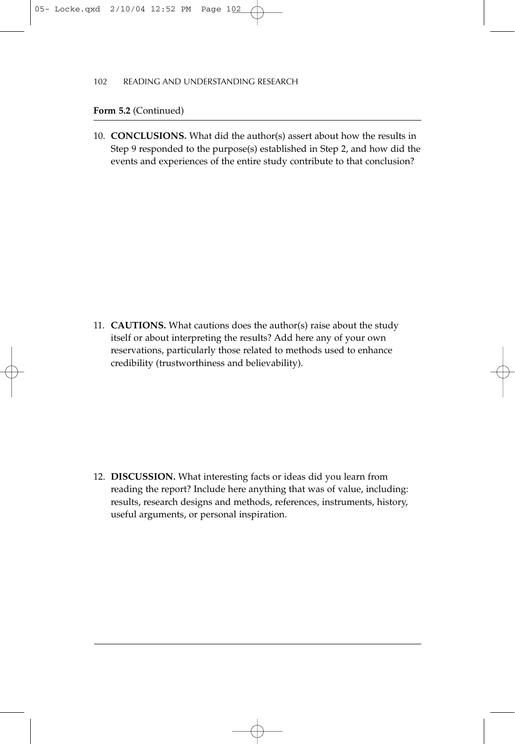#### **Form 5.2** (Continued)

10. **CONCLUSIONS.** What did the author(s) assert about how the results in Step 9 responded to the purpose(s) established in Step 2, and how did the events and experiences of the entire study contribute to that conclusion?

11. **CAUTIONS.** What cautions does the author(s) raise about the study itself or about interpreting the results? Add here any of your own reservations, particularly those related to methods used to enhance credibility (trustworthiness and believability).

12. **DISCUSSION.** What interesting facts or ideas did you learn from reading the report? Include here anything that was of value, including: results, research designs and methods, references, instruments, history, useful arguments, or personal inspiration.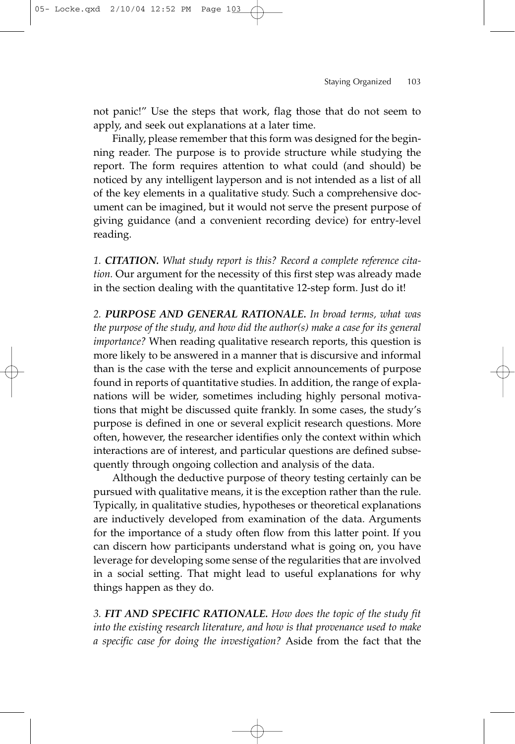not panic!" Use the steps that work, flag those that do not seem to apply, and seek out explanations at a later time.

Finally, please remember that this form was designed for the beginning reader. The purpose is to provide structure while studying the report. The form requires attention to what could (and should) be noticed by any intelligent layperson and is not intended as a list of all of the key elements in a qualitative study. Such a comprehensive document can be imagined, but it would not serve the present purpose of giving guidance (and a convenient recording device) for entry-level reading.

*1. CITATION. What study report is this? Record a complete reference citation.* Our argument for the necessity of this first step was already made in the section dealing with the quantitative 12-step form. Just do it!

*2. PURPOSE AND GENERAL RATIONALE. In broad terms, what was the purpose of the study, and how did the author(s) make a case for its general importance?* When reading qualitative research reports, this question is more likely to be answered in a manner that is discursive and informal than is the case with the terse and explicit announcements of purpose found in reports of quantitative studies. In addition, the range of explanations will be wider, sometimes including highly personal motivations that might be discussed quite frankly. In some cases, the study's purpose is defined in one or several explicit research questions. More often, however, the researcher identifies only the context within which interactions are of interest, and particular questions are defined subsequently through ongoing collection and analysis of the data.

Although the deductive purpose of theory testing certainly can be pursued with qualitative means, it is the exception rather than the rule. Typically, in qualitative studies, hypotheses or theoretical explanations are inductively developed from examination of the data. Arguments for the importance of a study often flow from this latter point. If you can discern how participants understand what is going on, you have leverage for developing some sense of the regularities that are involved in a social setting. That might lead to useful explanations for why things happen as they do.

*3. FIT AND SPECIFIC RATIONALE. How does the topic of the study fit into the existing research literature, and how is that provenance used to make a specific case for doing the investigation?* Aside from the fact that the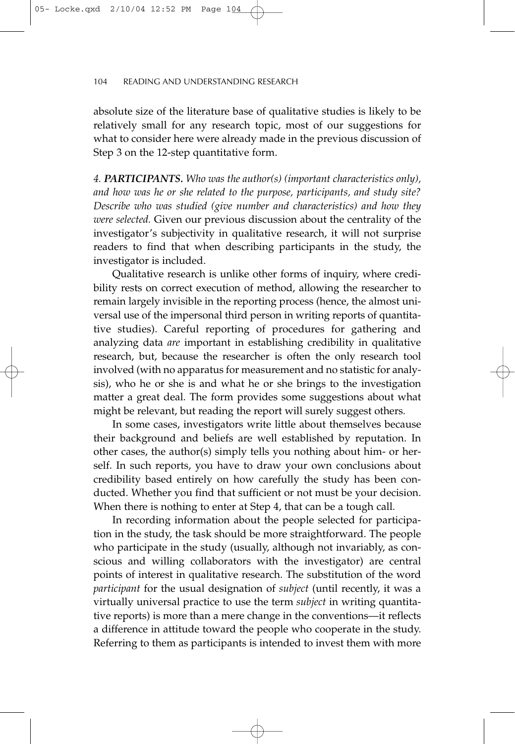absolute size of the literature base of qualitative studies is likely to be relatively small for any research topic, most of our suggestions for what to consider here were already made in the previous discussion of Step 3 on the 12-step quantitative form.

*4. PARTICIPANTS. Who was the author(s) (important characteristics only), and how was he or she related to the purpose, participants, and study site? Describe who was studied (give number and characteristics) and how they were selected.* Given our previous discussion about the centrality of the investigator's subjectivity in qualitative research, it will not surprise readers to find that when describing participants in the study, the investigator is included.

Qualitative research is unlike other forms of inquiry, where credibility rests on correct execution of method, allowing the researcher to remain largely invisible in the reporting process (hence, the almost universal use of the impersonal third person in writing reports of quantitative studies). Careful reporting of procedures for gathering and analyzing data *are* important in establishing credibility in qualitative research, but, because the researcher is often the only research tool involved (with no apparatus for measurement and no statistic for analysis), who he or she is and what he or she brings to the investigation matter a great deal. The form provides some suggestions about what might be relevant, but reading the report will surely suggest others.

In some cases, investigators write little about themselves because their background and beliefs are well established by reputation. In other cases, the author(s) simply tells you nothing about him- or herself. In such reports, you have to draw your own conclusions about credibility based entirely on how carefully the study has been conducted. Whether you find that sufficient or not must be your decision. When there is nothing to enter at Step 4, that can be a tough call.

In recording information about the people selected for participation in the study, the task should be more straightforward. The people who participate in the study (usually, although not invariably, as conscious and willing collaborators with the investigator) are central points of interest in qualitative research. The substitution of the word *participant* for the usual designation of *subject* (until recently, it was a virtually universal practice to use the term *subject* in writing quantitative reports) is more than a mere change in the conventions—it reflects a difference in attitude toward the people who cooperate in the study. Referring to them as participants is intended to invest them with more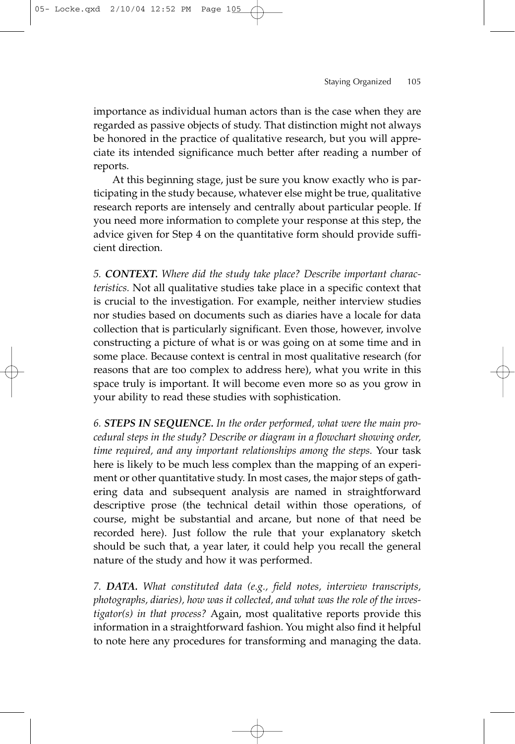importance as individual human actors than is the case when they are regarded as passive objects of study. That distinction might not always be honored in the practice of qualitative research, but you will appreciate its intended significance much better after reading a number of reports.

At this beginning stage, just be sure you know exactly who is participating in the study because, whatever else might be true, qualitative research reports are intensely and centrally about particular people. If you need more information to complete your response at this step, the advice given for Step 4 on the quantitative form should provide sufficient direction.

*5. CONTEXT. Where did the study take place? Describe important characteristics.* Not all qualitative studies take place in a specific context that is crucial to the investigation. For example, neither interview studies nor studies based on documents such as diaries have a locale for data collection that is particularly significant. Even those, however, involve constructing a picture of what is or was going on at some time and in some place. Because context is central in most qualitative research (for reasons that are too complex to address here), what you write in this space truly is important. It will become even more so as you grow in your ability to read these studies with sophistication.

*6. STEPS IN SEQUENCE. In the order performed, what were the main procedural steps in the study? Describe or diagram in a flowchart showing order, time required, and any important relationships among the steps.* Your task here is likely to be much less complex than the mapping of an experiment or other quantitative study. In most cases, the major steps of gathering data and subsequent analysis are named in straightforward descriptive prose (the technical detail within those operations, of course, might be substantial and arcane, but none of that need be recorded here). Just follow the rule that your explanatory sketch should be such that, a year later, it could help you recall the general nature of the study and how it was performed.

*7. DATA. What constituted data (e.g., field notes, interview transcripts, photographs, diaries), how was it collected, and what was the role of the investigator(s) in that process?* Again, most qualitative reports provide this information in a straightforward fashion. You might also find it helpful to note here any procedures for transforming and managing the data.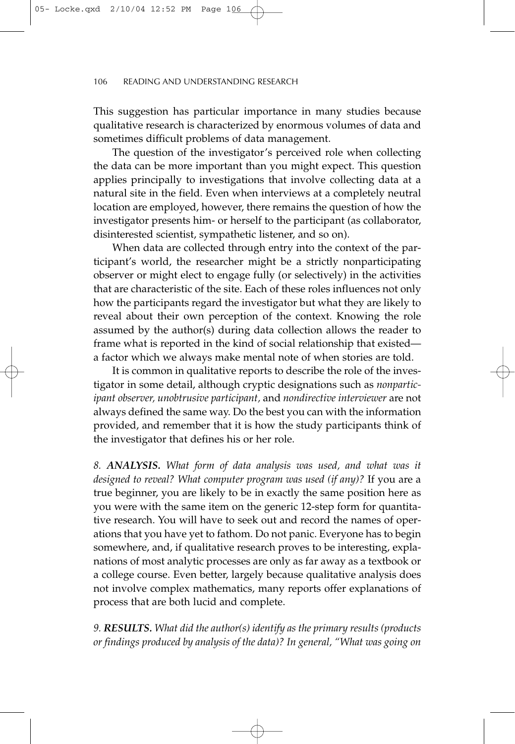This suggestion has particular importance in many studies because qualitative research is characterized by enormous volumes of data and sometimes difficult problems of data management.

The question of the investigator's perceived role when collecting the data can be more important than you might expect. This question applies principally to investigations that involve collecting data at a natural site in the field. Even when interviews at a completely neutral location are employed, however, there remains the question of how the investigator presents him- or herself to the participant (as collaborator, disinterested scientist, sympathetic listener, and so on).

When data are collected through entry into the context of the participant's world, the researcher might be a strictly nonparticipating observer or might elect to engage fully (or selectively) in the activities that are characteristic of the site. Each of these roles influences not only how the participants regard the investigator but what they are likely to reveal about their own perception of the context. Knowing the role assumed by the author(s) during data collection allows the reader to frame what is reported in the kind of social relationship that existed a factor which we always make mental note of when stories are told.

It is common in qualitative reports to describe the role of the investigator in some detail, although cryptic designations such as *nonparticipant observer, unobtrusive participant,* and *nondirective interviewer* are not always defined the same way. Do the best you can with the information provided, and remember that it is how the study participants think of the investigator that defines his or her role.

*8. ANALYSIS. What form of data analysis was used, and what was it designed to reveal? What computer program was used (if any)?* If you are a true beginner, you are likely to be in exactly the same position here as you were with the same item on the generic 12-step form for quantitative research. You will have to seek out and record the names of operations that you have yet to fathom. Do not panic. Everyone has to begin somewhere, and, if qualitative research proves to be interesting, explanations of most analytic processes are only as far away as a textbook or a college course. Even better, largely because qualitative analysis does not involve complex mathematics, many reports offer explanations of process that are both lucid and complete.

*9. RESULTS. What did the author(s) identify as the primary results (products or findings produced by analysis of the data)? In general, "What was going on*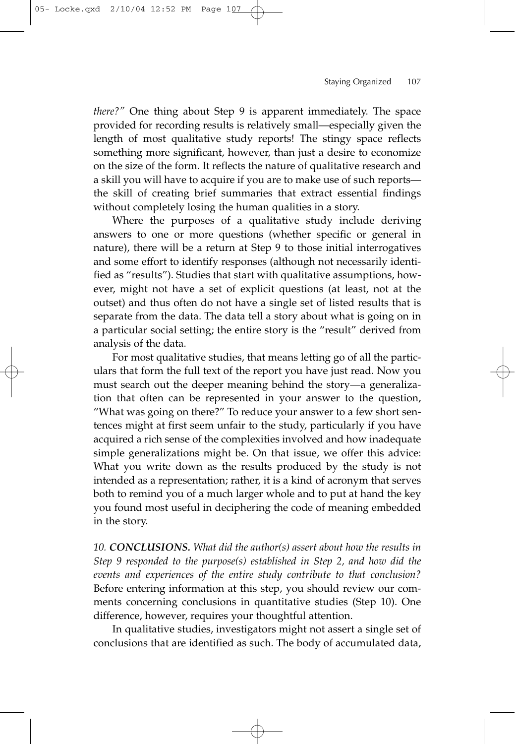*there?"* One thing about Step 9 is apparent immediately. The space provided for recording results is relatively small—especially given the length of most qualitative study reports! The stingy space reflects something more significant, however, than just a desire to economize on the size of the form. It reflects the nature of qualitative research and a skill you will have to acquire if you are to make use of such reports the skill of creating brief summaries that extract essential findings without completely losing the human qualities in a story.

Where the purposes of a qualitative study include deriving answers to one or more questions (whether specific or general in nature), there will be a return at Step 9 to those initial interrogatives and some effort to identify responses (although not necessarily identified as "results"). Studies that start with qualitative assumptions, however, might not have a set of explicit questions (at least, not at the outset) and thus often do not have a single set of listed results that is separate from the data. The data tell a story about what is going on in a particular social setting; the entire story is the "result" derived from analysis of the data.

For most qualitative studies, that means letting go of all the particulars that form the full text of the report you have just read. Now you must search out the deeper meaning behind the story—a generalization that often can be represented in your answer to the question, "What was going on there?" To reduce your answer to a few short sentences might at first seem unfair to the study, particularly if you have acquired a rich sense of the complexities involved and how inadequate simple generalizations might be. On that issue, we offer this advice: What you write down as the results produced by the study is not intended as a representation; rather, it is a kind of acronym that serves both to remind you of a much larger whole and to put at hand the key you found most useful in deciphering the code of meaning embedded in the story.

*10. CONCLUSIONS. What did the author(s) assert about how the results in Step 9 responded to the purpose(s) established in Step 2, and how did the events and experiences of the entire study contribute to that conclusion?* Before entering information at this step, you should review our comments concerning conclusions in quantitative studies (Step 10). One difference, however, requires your thoughtful attention.

In qualitative studies, investigators might not assert a single set of conclusions that are identified as such. The body of accumulated data,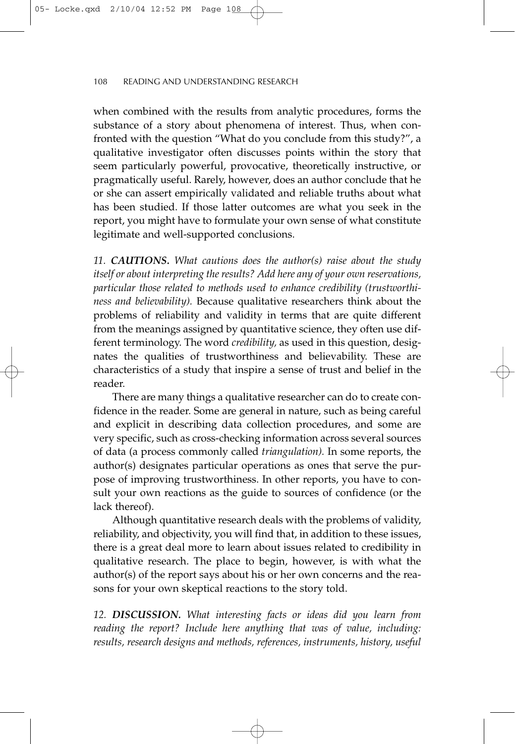when combined with the results from analytic procedures, forms the substance of a story about phenomena of interest. Thus, when confronted with the question "What do you conclude from this study?", a qualitative investigator often discusses points within the story that seem particularly powerful, provocative, theoretically instructive, or pragmatically useful. Rarely, however, does an author conclude that he or she can assert empirically validated and reliable truths about what has been studied. If those latter outcomes are what you seek in the report, you might have to formulate your own sense of what constitute legitimate and well-supported conclusions.

*11. CAUTIONS. What cautions does the author(s) raise about the study itself or about interpreting the results? Add here any of your own reservations, particular those related to methods used to enhance credibility (trustworthiness and believability).* Because qualitative researchers think about the problems of reliability and validity in terms that are quite different from the meanings assigned by quantitative science, they often use different terminology. The word *credibility,* as used in this question, designates the qualities of trustworthiness and believability. These are characteristics of a study that inspire a sense of trust and belief in the reader.

There are many things a qualitative researcher can do to create confidence in the reader. Some are general in nature, such as being careful and explicit in describing data collection procedures, and some are very specific, such as cross-checking information across several sources of data (a process commonly called *triangulation).* In some reports, the author(s) designates particular operations as ones that serve the purpose of improving trustworthiness. In other reports, you have to consult your own reactions as the guide to sources of confidence (or the lack thereof).

Although quantitative research deals with the problems of validity, reliability, and objectivity, you will find that, in addition to these issues, there is a great deal more to learn about issues related to credibility in qualitative research. The place to begin, however, is with what the author(s) of the report says about his or her own concerns and the reasons for your own skeptical reactions to the story told.

*12. DISCUSSION. What interesting facts or ideas did you learn from reading the report? Include here anything that was of value, including: results, research designs and methods, references, instruments, history, useful*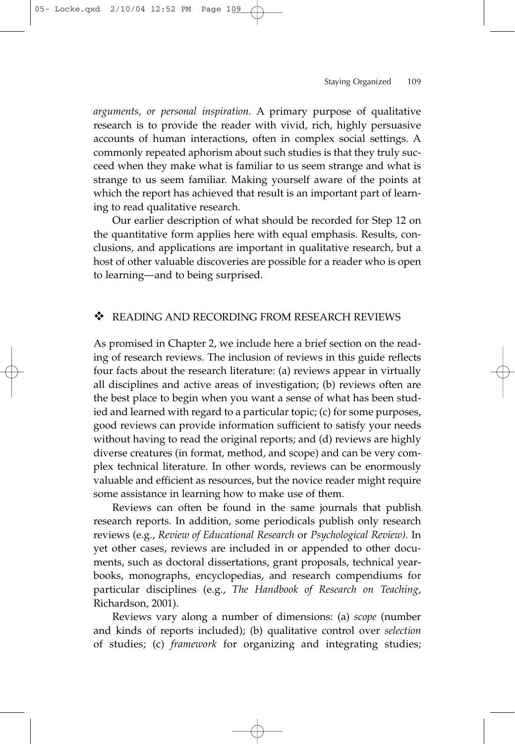*arguments, or personal inspiration.* A primary purpose of qualitative research is to provide the reader with vivid, rich, highly persuasive accounts of human interactions, often in complex social settings. A commonly repeated aphorism about such studies is that they truly succeed when they make what is familiar to us seem strange and what is strange to us seem familiar. Making yourself aware of the points at which the report has achieved that result is an important part of learning to read qualitative research.

Our earlier description of what should be recorded for Step 12 on the quantitative form applies here with equal emphasis. Results, conclusions, and applications are important in qualitative research, but a host of other valuable discoveries are possible for a reader who is open to learning—and to being surprised.

## ❖ READING AND RECORDING FROM RESEARCH REVIEWS

As promised in Chapter 2, we include here a brief section on the reading of research reviews. The inclusion of reviews in this guide reflects four facts about the research literature: (a) reviews appear in virtually all disciplines and active areas of investigation; (b) reviews often are the best place to begin when you want a sense of what has been studied and learned with regard to a particular topic; (c) for some purposes, good reviews can provide information sufficient to satisfy your needs without having to read the original reports; and (d) reviews are highly diverse creatures (in format, method, and scope) and can be very complex technical literature. In other words, reviews can be enormously valuable and efficient as resources, but the novice reader might require some assistance in learning how to make use of them.

Reviews can often be found in the same journals that publish research reports. In addition, some periodicals publish only research reviews (e.g., *Review of Educational Research* or *Psychological Review).* In yet other cases, reviews are included in or appended to other documents, such as doctoral dissertations, grant proposals, technical yearbooks, monographs, encyclopedias, and research compendiums for particular disciplines (e.g., *The Handbook of Research on Teaching*, Richardson, 2001).

Reviews vary along a number of dimensions: (a) *scope* (number and kinds of reports included); (b) qualitative control over *selection* of studies; (c) *framework* for organizing and integrating studies;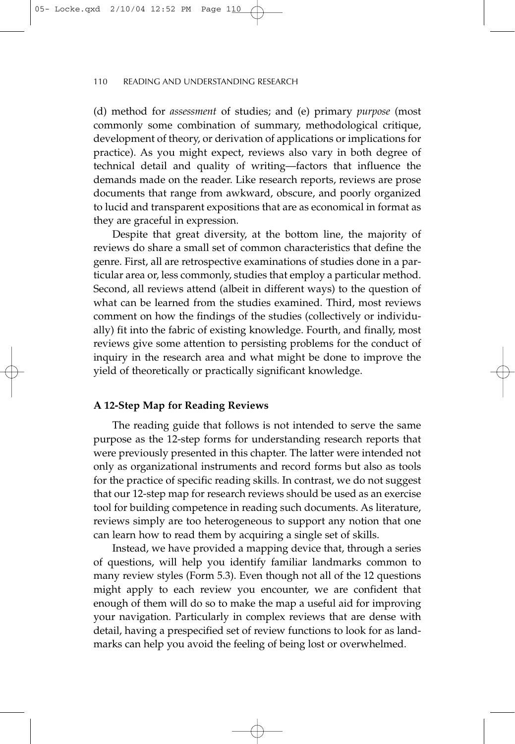(d) method for *assessment* of studies; and (e) primary *purpose* (most commonly some combination of summary, methodological critique, development of theory, or derivation of applications or implications for practice). As you might expect, reviews also vary in both degree of technical detail and quality of writing—factors that influence the demands made on the reader. Like research reports, reviews are prose documents that range from awkward, obscure, and poorly organized to lucid and transparent expositions that are as economical in format as they are graceful in expression.

Despite that great diversity, at the bottom line, the majority of reviews do share a small set of common characteristics that define the genre. First, all are retrospective examinations of studies done in a particular area or, less commonly, studies that employ a particular method. Second, all reviews attend (albeit in different ways) to the question of what can be learned from the studies examined. Third, most reviews comment on how the findings of the studies (collectively or individually) fit into the fabric of existing knowledge. Fourth, and finally, most reviews give some attention to persisting problems for the conduct of inquiry in the research area and what might be done to improve the yield of theoretically or practically significant knowledge.

#### **A 12-Step Map for Reading Reviews**

The reading guide that follows is not intended to serve the same purpose as the 12-step forms for understanding research reports that were previously presented in this chapter. The latter were intended not only as organizational instruments and record forms but also as tools for the practice of specific reading skills. In contrast, we do not suggest that our 12-step map for research reviews should be used as an exercise tool for building competence in reading such documents. As literature, reviews simply are too heterogeneous to support any notion that one can learn how to read them by acquiring a single set of skills.

Instead, we have provided a mapping device that, through a series of questions, will help you identify familiar landmarks common to many review styles (Form 5.3). Even though not all of the 12 questions might apply to each review you encounter, we are confident that enough of them will do so to make the map a useful aid for improving your navigation. Particularly in complex reviews that are dense with detail, having a prespecified set of review functions to look for as landmarks can help you avoid the feeling of being lost or overwhelmed.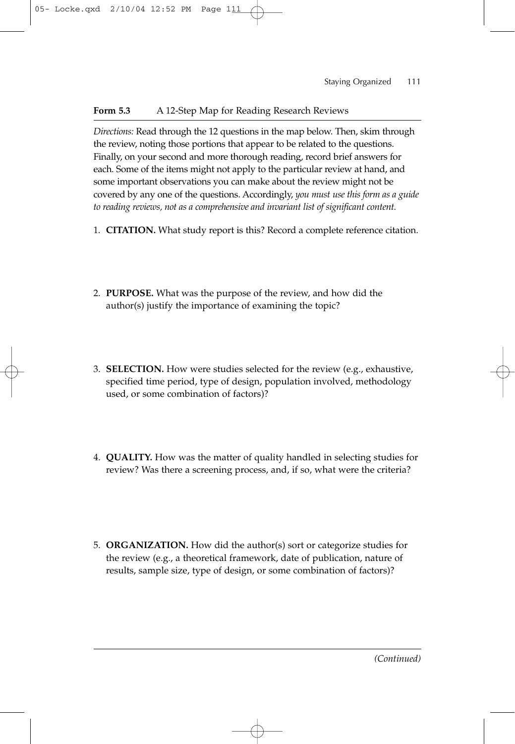# **Form 5.3** A 12-Step Map for Reading Research Reviews

05- Locke.qxd 2/10/04 12:52 PM Page 11

*Directions:* Read through the 12 questions in the map below. Then, skim through the review, noting those portions that appear to be related to the questions. Finally, on your second and more thorough reading, record brief answers for each. Some of the items might not apply to the particular review at hand, and some important observations you can make about the review might not be covered by any one of the questions. Accordingly, *you must use this form as a guide to reading reviews, not as a comprehensive and invariant list of significant content.*

- 1. **CITATION.** What study report is this? Record a complete reference citation.
- 2. **PURPOSE.** What was the purpose of the review, and how did the author(s) justify the importance of examining the topic?
- 3. **SELECTION.** How were studies selected for the review (e.g., exhaustive, specified time period, type of design, population involved, methodology used, or some combination of factors)?
- 4. **QUALITY.** How was the matter of quality handled in selecting studies for review? Was there a screening process, and, if so, what were the criteria?
- 5. **ORGANIZATION.** How did the author(s) sort or categorize studies for the review (e.g., a theoretical framework, date of publication, nature of results, sample size, type of design, or some combination of factors)?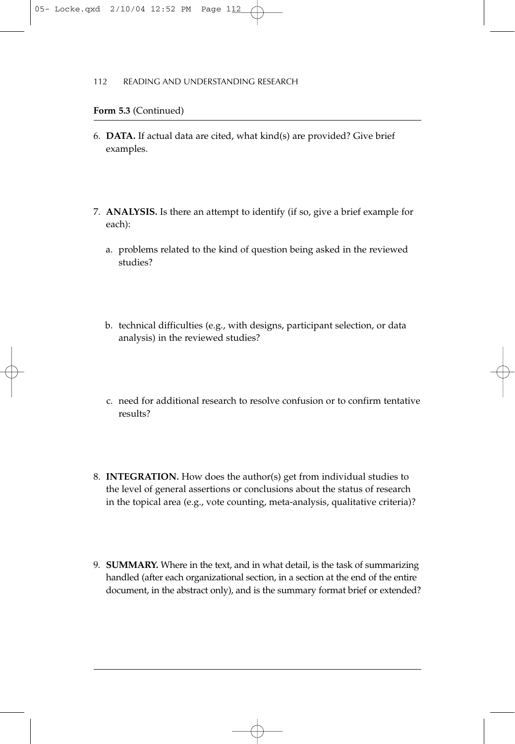#### **Form 5.3** (Continued)

- 6. **DATA.** If actual data are cited, what kind(s) are provided? Give brief examples.
- 7. **ANALYSIS.** Is there an attempt to identify (if so, give a brief example for each):
	- a. problems related to the kind of question being asked in the reviewed studies?
	- b. technical difficulties (e.g., with designs, participant selection, or data analysis) in the reviewed studies?
	- c. need for additional research to resolve confusion or to confirm tentative results?
- 8. **INTEGRATION.** How does the author(s) get from individual studies to the level of general assertions or conclusions about the status of research in the topical area (e.g., vote counting, meta-analysis, qualitative criteria)?
- 9. **SUMMARY.** Where in the text, and in what detail, is the task of summarizing handled (after each organizational section, in a section at the end of the entire document, in the abstract only), and is the summary format brief or extended?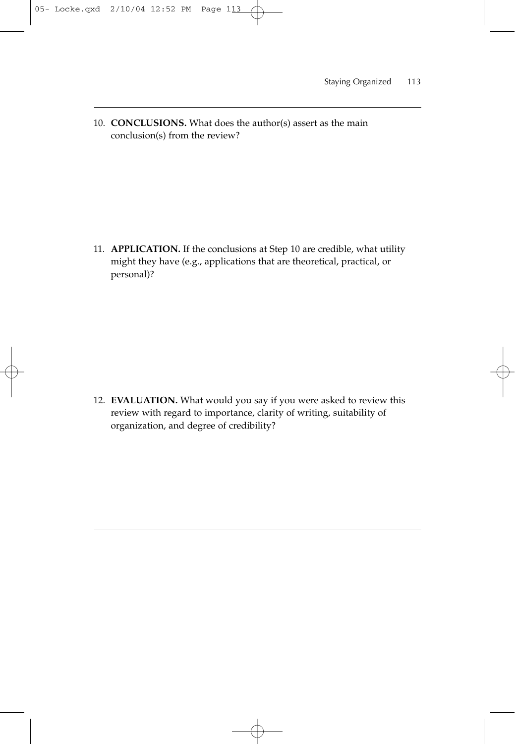10. **CONCLUSIONS.** What does the author(s) assert as the main conclusion(s) from the review?

11. **APPLICATION.** If the conclusions at Step 10 are credible, what utility might they have (e.g., applications that are theoretical, practical, or personal)?

12. **EVALUATION.** What would you say if you were asked to review this review with regard to importance, clarity of writing, suitability of organization, and degree of credibility?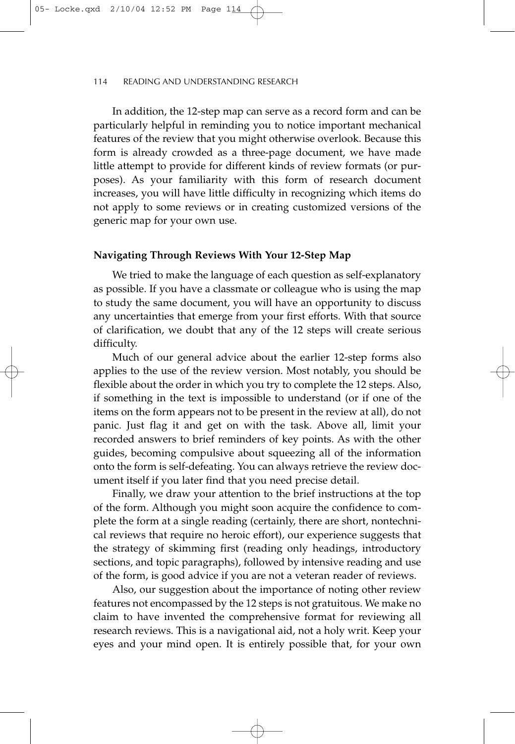In addition, the 12-step map can serve as a record form and can be particularly helpful in reminding you to notice important mechanical features of the review that you might otherwise overlook. Because this form is already crowded as a three-page document, we have made little attempt to provide for different kinds of review formats (or purposes). As your familiarity with this form of research document increases, you will have little difficulty in recognizing which items do not apply to some reviews or in creating customized versions of the generic map for your own use.

#### **Navigating Through Reviews With Your 12-Step Map**

We tried to make the language of each question as self-explanatory as possible. If you have a classmate or colleague who is using the map to study the same document, you will have an opportunity to discuss any uncertainties that emerge from your first efforts. With that source of clarification, we doubt that any of the 12 steps will create serious difficulty.

Much of our general advice about the earlier 12-step forms also applies to the use of the review version. Most notably, you should be flexible about the order in which you try to complete the 12 steps. Also, if something in the text is impossible to understand (or if one of the items on the form appears not to be present in the review at all), do not panic. Just flag it and get on with the task. Above all, limit your recorded answers to brief reminders of key points. As with the other guides, becoming compulsive about squeezing all of the information onto the form is self-defeating. You can always retrieve the review document itself if you later find that you need precise detail.

Finally, we draw your attention to the brief instructions at the top of the form. Although you might soon acquire the confidence to complete the form at a single reading (certainly, there are short, nontechnical reviews that require no heroic effort), our experience suggests that the strategy of skimming first (reading only headings, introductory sections, and topic paragraphs), followed by intensive reading and use of the form, is good advice if you are not a veteran reader of reviews.

Also, our suggestion about the importance of noting other review features not encompassed by the 12 steps is not gratuitous. We make no claim to have invented the comprehensive format for reviewing all research reviews. This is a navigational aid, not a holy writ. Keep your eyes and your mind open. It is entirely possible that, for your own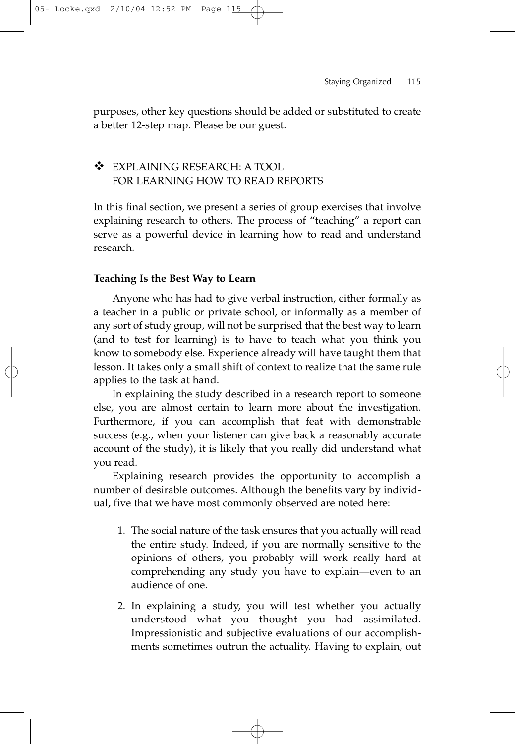purposes, other key questions should be added or substituted to create a better 12-step map. Please be our guest.

# ❖ EXPLAINING RESEARCH: A TOOL FOR LEARNING HOW TO READ REPORTS

In this final section, we present a series of group exercises that involve explaining research to others. The process of "teaching" a report can serve as a powerful device in learning how to read and understand research.

#### **Teaching Is the Best Way to Learn**

Anyone who has had to give verbal instruction, either formally as a teacher in a public or private school, or informally as a member of any sort of study group, will not be surprised that the best way to learn (and to test for learning) is to have to teach what you think you know to somebody else. Experience already will have taught them that lesson. It takes only a small shift of context to realize that the same rule applies to the task at hand.

In explaining the study described in a research report to someone else, you are almost certain to learn more about the investigation. Furthermore, if you can accomplish that feat with demonstrable success (e.g., when your listener can give back a reasonably accurate account of the study), it is likely that you really did understand what you read.

Explaining research provides the opportunity to accomplish a number of desirable outcomes. Although the benefits vary by individual, five that we have most commonly observed are noted here:

- 1. The social nature of the task ensures that you actually will read the entire study. Indeed, if you are normally sensitive to the opinions of others, you probably will work really hard at comprehending any study you have to explain—even to an audience of one.
- 2. In explaining a study, you will test whether you actually understood what you thought you had assimilated. Impressionistic and subjective evaluations of our accomplishments sometimes outrun the actuality. Having to explain, out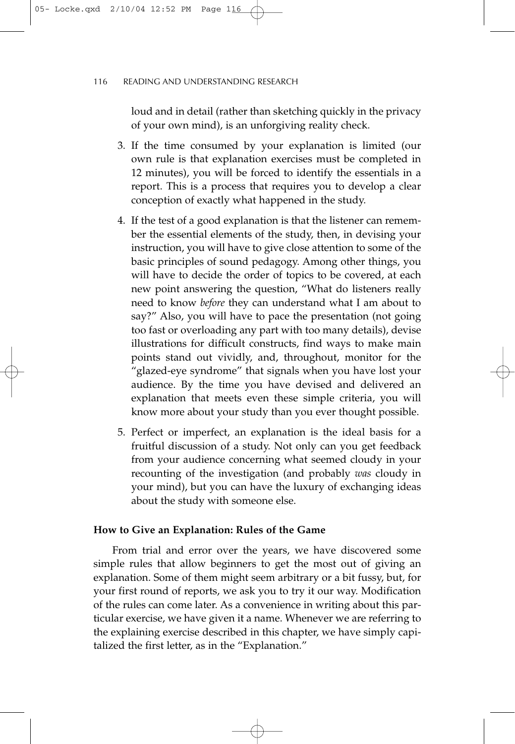loud and in detail (rather than sketching quickly in the privacy of your own mind), is an unforgiving reality check.

- 3. If the time consumed by your explanation is limited (our own rule is that explanation exercises must be completed in 12 minutes), you will be forced to identify the essentials in a report. This is a process that requires you to develop a clear conception of exactly what happened in the study.
- 4. If the test of a good explanation is that the listener can remember the essential elements of the study, then, in devising your instruction, you will have to give close attention to some of the basic principles of sound pedagogy. Among other things, you will have to decide the order of topics to be covered, at each new point answering the question, "What do listeners really need to know *before* they can understand what I am about to say?" Also, you will have to pace the presentation (not going too fast or overloading any part with too many details), devise illustrations for difficult constructs, find ways to make main points stand out vividly, and, throughout, monitor for the "glazed-eye syndrome" that signals when you have lost your audience. By the time you have devised and delivered an explanation that meets even these simple criteria, you will know more about your study than you ever thought possible.
- 5. Perfect or imperfect, an explanation is the ideal basis for a fruitful discussion of a study. Not only can you get feedback from your audience concerning what seemed cloudy in your recounting of the investigation (and probably *was* cloudy in your mind), but you can have the luxury of exchanging ideas about the study with someone else.

#### **How to Give an Explanation: Rules of the Game**

From trial and error over the years, we have discovered some simple rules that allow beginners to get the most out of giving an explanation. Some of them might seem arbitrary or a bit fussy, but, for your first round of reports, we ask you to try it our way. Modification of the rules can come later. As a convenience in writing about this particular exercise, we have given it a name. Whenever we are referring to the explaining exercise described in this chapter, we have simply capitalized the first letter, as in the "Explanation."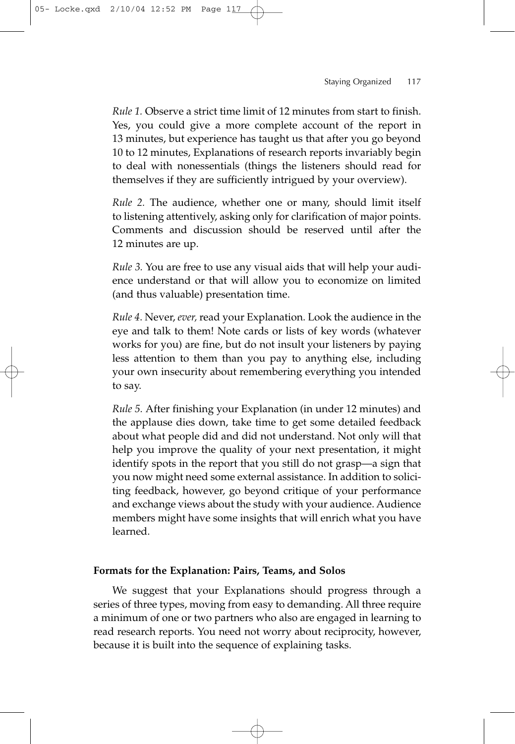*Rule 1.* Observe a strict time limit of 12 minutes from start to finish. Yes, you could give a more complete account of the report in 13 minutes, but experience has taught us that after you go beyond 10 to 12 minutes, Explanations of research reports invariably begin to deal with nonessentials (things the listeners should read for themselves if they are sufficiently intrigued by your overview).

*Rule 2.* The audience, whether one or many, should limit itself to listening attentively, asking only for clarification of major points. Comments and discussion should be reserved until after the 12 minutes are up.

*Rule 3.* You are free to use any visual aids that will help your audience understand or that will allow you to economize on limited (and thus valuable) presentation time.

*Rule 4*. Never, *ever,* read your Explanation. Look the audience in the eye and talk to them! Note cards or lists of key words (whatever works for you) are fine, but do not insult your listeners by paying less attention to them than you pay to anything else, including your own insecurity about remembering everything you intended to say.

*Rule 5.* After finishing your Explanation (in under 12 minutes) and the applause dies down, take time to get some detailed feedback about what people did and did not understand. Not only will that help you improve the quality of your next presentation, it might identify spots in the report that you still do not grasp—a sign that you now might need some external assistance. In addition to soliciting feedback, however, go beyond critique of your performance and exchange views about the study with your audience. Audience members might have some insights that will enrich what you have learned.

#### **Formats for the Explanation: Pairs, Teams, and Solos**

We suggest that your Explanations should progress through a series of three types, moving from easy to demanding. All three require a minimum of one or two partners who also are engaged in learning to read research reports. You need not worry about reciprocity, however, because it is built into the sequence of explaining tasks.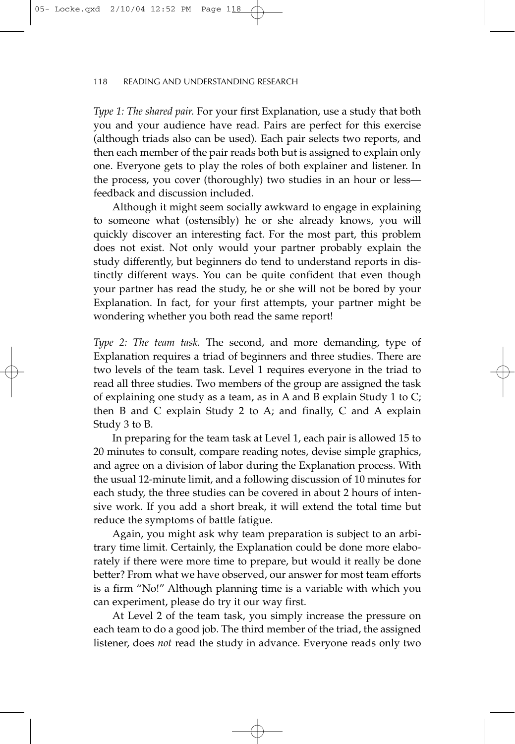*Type 1: The shared pair.* For your first Explanation, use a study that both you and your audience have read. Pairs are perfect for this exercise (although triads also can be used). Each pair selects two reports, and then each member of the pair reads both but is assigned to explain only one. Everyone gets to play the roles of both explainer and listener. In the process, you cover (thoroughly) two studies in an hour or less feedback and discussion included.

Although it might seem socially awkward to engage in explaining to someone what (ostensibly) he or she already knows, you will quickly discover an interesting fact. For the most part, this problem does not exist. Not only would your partner probably explain the study differently, but beginners do tend to understand reports in distinctly different ways. You can be quite confident that even though your partner has read the study, he or she will not be bored by your Explanation. In fact, for your first attempts, your partner might be wondering whether you both read the same report!

*Type 2: The team task.* The second, and more demanding, type of Explanation requires a triad of beginners and three studies. There are two levels of the team task. Level 1 requires everyone in the triad to read all three studies. Two members of the group are assigned the task of explaining one study as a team, as in A and B explain Study 1 to C; then B and C explain Study 2 to A; and finally, C and A explain Study 3 to B.

In preparing for the team task at Level 1, each pair is allowed 15 to 20 minutes to consult, compare reading notes, devise simple graphics, and agree on a division of labor during the Explanation process. With the usual 12-minute limit, and a following discussion of 10 minutes for each study, the three studies can be covered in about 2 hours of intensive work. If you add a short break, it will extend the total time but reduce the symptoms of battle fatigue.

Again, you might ask why team preparation is subject to an arbitrary time limit. Certainly, the Explanation could be done more elaborately if there were more time to prepare, but would it really be done better? From what we have observed, our answer for most team efforts is a firm "No!" Although planning time is a variable with which you can experiment, please do try it our way first.

At Level 2 of the team task, you simply increase the pressure on each team to do a good job. The third member of the triad, the assigned listener, does *not* read the study in advance. Everyone reads only two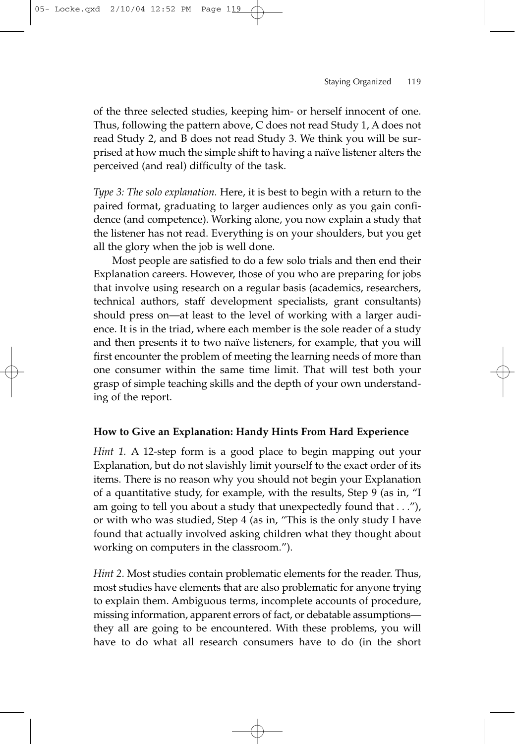of the three selected studies, keeping him- or herself innocent of one. Thus, following the pattern above, C does not read Study 1, A does not read Study 2, and B does not read Study 3. We think you will be surprised at how much the simple shift to having a naïve listener alters the perceived (and real) difficulty of the task.

*Type 3: The solo explanation.* Here, it is best to begin with a return to the paired format, graduating to larger audiences only as you gain confidence (and competence). Working alone, you now explain a study that the listener has not read. Everything is on your shoulders, but you get all the glory when the job is well done.

Most people are satisfied to do a few solo trials and then end their Explanation careers. However, those of you who are preparing for jobs that involve using research on a regular basis (academics, researchers, technical authors, staff development specialists, grant consultants) should press on—at least to the level of working with a larger audience. It is in the triad, where each member is the sole reader of a study and then presents it to two naïve listeners, for example, that you will first encounter the problem of meeting the learning needs of more than one consumer within the same time limit. That will test both your grasp of simple teaching skills and the depth of your own understanding of the report.

#### **How to Give an Explanation: Handy Hints From Hard Experience**

*Hint 1.* A 12-step form is a good place to begin mapping out your Explanation, but do not slavishly limit yourself to the exact order of its items. There is no reason why you should not begin your Explanation of a quantitative study, for example, with the results, Step 9 (as in, "I am going to tell you about a study that unexpectedly found that . . ."), or with who was studied, Step 4 (as in, "This is the only study I have found that actually involved asking children what they thought about working on computers in the classroom.").

*Hint 2*. Most studies contain problematic elements for the reader. Thus, most studies have elements that are also problematic for anyone trying to explain them. Ambiguous terms, incomplete accounts of procedure, missing information, apparent errors of fact, or debatable assumptions they all are going to be encountered. With these problems, you will have to do what all research consumers have to do (in the short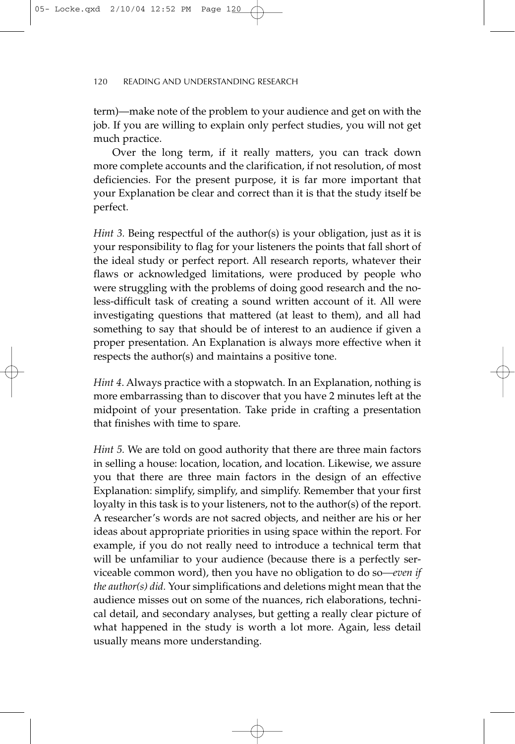term)—make note of the problem to your audience and get on with the job. If you are willing to explain only perfect studies, you will not get much practice.

Over the long term, if it really matters, you can track down more complete accounts and the clarification, if not resolution, of most deficiencies. For the present purpose, it is far more important that your Explanation be clear and correct than it is that the study itself be perfect.

*Hint 3.* Being respectful of the author(s) is your obligation, just as it is your responsibility to flag for your listeners the points that fall short of the ideal study or perfect report. All research reports, whatever their flaws or acknowledged limitations, were produced by people who were struggling with the problems of doing good research and the noless-difficult task of creating a sound written account of it. All were investigating questions that mattered (at least to them), and all had something to say that should be of interest to an audience if given a proper presentation. An Explanation is always more effective when it respects the author(s) and maintains a positive tone.

*Hint 4*. Always practice with a stopwatch. In an Explanation, nothing is more embarrassing than to discover that you have 2 minutes left at the midpoint of your presentation. Take pride in crafting a presentation that finishes with time to spare.

*Hint 5.* We are told on good authority that there are three main factors in selling a house: location, location, and location. Likewise, we assure you that there are three main factors in the design of an effective Explanation: simplify, simplify, and simplify. Remember that your first loyalty in this task is to your listeners, not to the author(s) of the report. A researcher's words are not sacred objects, and neither are his or her ideas about appropriate priorities in using space within the report. For example, if you do not really need to introduce a technical term that will be unfamiliar to your audience (because there is a perfectly serviceable common word), then you have no obligation to do so*—even if the author(s) did.* Your simplifications and deletions might mean that the audience misses out on some of the nuances, rich elaborations, technical detail, and secondary analyses, but getting a really clear picture of what happened in the study is worth a lot more. Again, less detail usually means more understanding.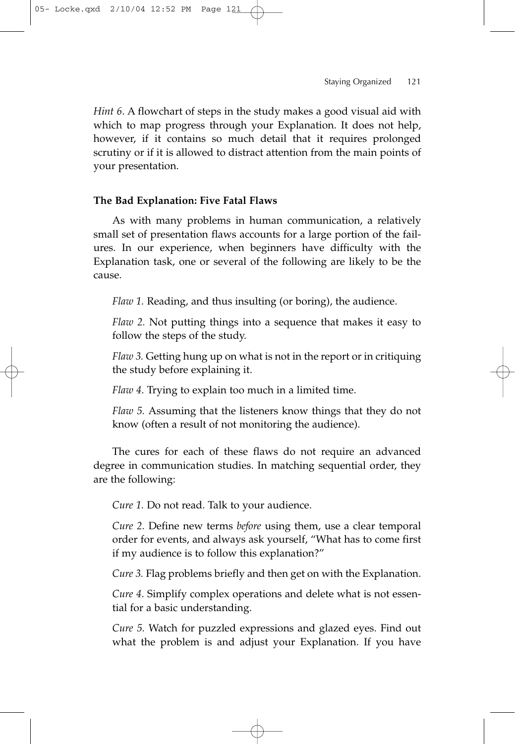*Hint 6*. A flowchart of steps in the study makes a good visual aid with which to map progress through your Explanation. It does not help, however, if it contains so much detail that it requires prolonged scrutiny or if it is allowed to distract attention from the main points of your presentation.

#### **The Bad Explanation: Five Fatal Flaws**

As with many problems in human communication, a relatively small set of presentation flaws accounts for a large portion of the failures. In our experience, when beginners have difficulty with the Explanation task, one or several of the following are likely to be the cause.

*Flaw 1.* Reading, and thus insulting (or boring), the audience.

*Flaw 2.* Not putting things into a sequence that makes it easy to follow the steps of the study.

*Flaw 3.* Getting hung up on what is not in the report or in critiquing the study before explaining it.

*Flaw 4*. Trying to explain too much in a limited time.

*Flaw 5.* Assuming that the listeners know things that they do not know (often a result of not monitoring the audience).

The cures for each of these flaws do not require an advanced degree in communication studies. In matching sequential order, they are the following:

*Cure 1.* Do not read. Talk to your audience.

*Cure 2.* Define new terms *before* using them, use a clear temporal order for events, and always ask yourself, "What has to come first if my audience is to follow this explanation?"

*Cure 3.* Flag problems briefly and then get on with the Explanation.

*Cure 4*. Simplify complex operations and delete what is not essential for a basic understanding.

*Cure 5.* Watch for puzzled expressions and glazed eyes. Find out what the problem is and adjust your Explanation. If you have